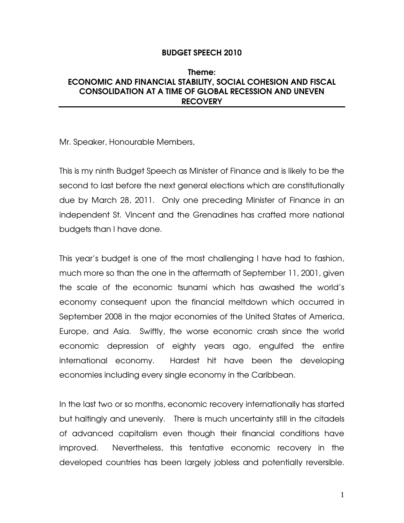### BUDGET SPEECH 2010

# Theme: ECONOMIC AND FINANCIAL STABILITY, SOCIAL COHESION AND FISCAL CONSOLIDATION AT A TIME OF GLOBAL RECESSION AND UNEVEN **RECOVERY**

Mr. Speaker, Honourable Members,

This is my ninth Budget Speech as Minister of Finance and is likely to be the second to last before the next general elections which are constitutionally due by March 28, 2011. Only one preceding Minister of Finance in an independent St. Vincent and the Grenadines has crafted more national budgets than I have done.

This year's budget is one of the most challenging I have had to fashion, much more so than the one in the aftermath of September 11, 2001, given the scale of the economic tsunami which has awashed the world's economy consequent upon the financial meltdown which occurred in September 2008 in the major economies of the United States of America, Europe, and Asia. Swiftly, the worse economic crash since the world economic depression of eighty years ago, engulfed the entire international economy. Hardest hit have been the developing economies including every single economy in the Caribbean.

In the last two or so months, economic recovery internationally has started but haltingly and unevenly. There is much uncertainty still in the citadels of advanced capitalism even though their financial conditions have improved. Nevertheless, this tentative economic recovery in the developed countries has been largely jobless and potentially reversible.

1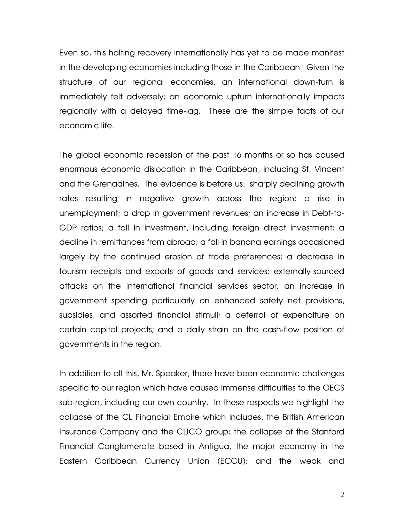Even so, this halting recovery internationally has yet to be made manifest in the developing economies including those in the Caribbean. Given the structure of our regional economies, an international down-turn is immediately felt adversely; an economic upturn internationally impacts regionally with a delayed time-lag. These are the simple facts of our economic life.

The global economic recession of the past 16 months or so has caused enormous economic dislocation in the Caribbean, including St. Vincent and the Grenadines. The evidence is before us: sharply declining growth rates resulting in negative growth across the region; a rise in unemployment; a drop in government revenues; an increase in Debt-to-GDP ratios; a fall in investment, including foreign direct investment; a decline in remittances from abroad; a fall in banana earnings occasioned largely by the continued erosion of trade preferences; a decrease in tourism receipts and exports of goods and services; externally-sourced attacks on the international financial services sector; an increase in government spending particularly on enhanced safety net provisions, subsidies, and assorted financial stimuli; a deferral of expenditure on certain capital projects; and a daily strain on the cash-flow position of governments in the region.

In addition to all this, Mr. Speaker, there have been economic challenges specific to our region which have caused immense difficulties to the OECS sub-region, including our own country. In these respects we highlight the collapse of the CL Financial Empire which includes, the British American Insurance Company and the CLICO group; the collapse of the Stanford Financial Conglomerate based in Antigua, the major economy in the Eastern Caribbean Currency Union (ECCU); and the weak and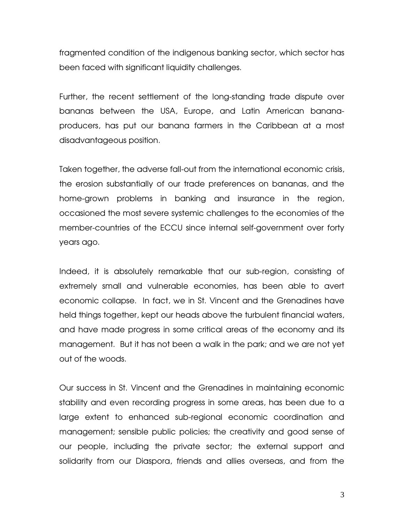fragmented condition of the indigenous banking sector, which sector has been faced with significant liquidity challenges.

Further, the recent settlement of the long-standing trade dispute over bananas between the USA, Europe, and Latin American bananaproducers, has put our banana farmers in the Caribbean at a most disadvantageous position.

Taken together, the adverse fall-out from the international economic crisis, the erosion substantially of our trade preferences on bananas, and the home-grown problems in banking and insurance in the region, occasioned the most severe systemic challenges to the economies of the member-countries of the ECCU since internal self-government over forty years ago.

Indeed, it is absolutely remarkable that our sub-region, consisting of extremely small and vulnerable economies, has been able to avert economic collapse. In fact, we in St. Vincent and the Grenadines have held things together, kept our heads above the turbulent financial waters, and have made progress in some critical areas of the economy and its management. But it has not been a walk in the park; and we are not yet out of the woods.

Our success in St. Vincent and the Grenadines in maintaining economic stability and even recording progress in some areas, has been due to a large extent to enhanced sub-regional economic coordination and management; sensible public policies; the creativity and good sense of our people, including the private sector; the external support and solidarity from our Diaspora, friends and allies overseas, and from the

3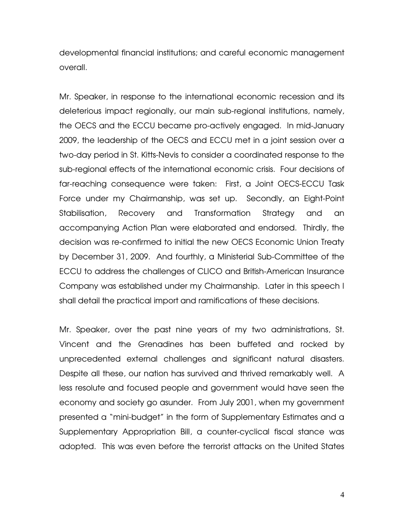developmental financial institutions; and careful economic management overall.

Mr. Speaker, in response to the international economic recession and its deleterious impact regionally, our main sub-regional institutions, namely, the OECS and the ECCU became pro-actively engaged. In mid-January 2009, the leadership of the OECS and ECCU met in a joint session over a two-day period in St. Kitts-Nevis to consider a coordinated response to the sub-regional effects of the international economic crisis. Four decisions of far-reaching consequence were taken: First, a Joint OECS-ECCU Task Force under my Chairmanship, was set up. Secondly, an Eight-Point Stabilisation, Recovery and Transformation Strategy and an accompanying Action Plan were elaborated and endorsed. Thirdly, the decision was re-confirmed to initial the new OECS Economic Union Treaty by December 31, 2009. And fourthly, a Ministerial Sub-Committee of the ECCU to address the challenges of CLICO and British-American Insurance Company was established under my Chairmanship. Later in this speech I shall detail the practical import and ramifications of these decisions.

Mr. Speaker, over the past nine years of my two administrations, St. Vincent and the Grenadines has been buffeted and rocked by unprecedented external challenges and significant natural disasters. Despite all these, our nation has survived and thrived remarkably well. A less resolute and focused people and government would have seen the economy and society go asunder. From July 2001, when my government presented a "mini-budget" in the form of Supplementary Estimates and a Supplementary Appropriation Bill, a counter-cyclical fiscal stance was adopted. This was even before the terrorist attacks on the United States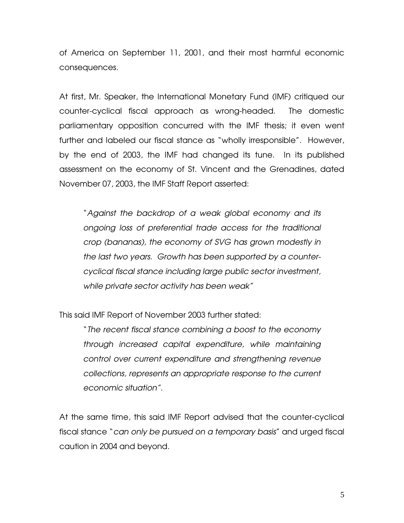of America on September 11, 2001, and their most harmful economic consequences.

At first, Mr. Speaker, the International Monetary Fund (IMF) critiqued our counter-cyclical fiscal approach as wrong-headed. The domestic parliamentary opposition concurred with the IMF thesis; it even went further and labeled our fiscal stance as "wholly irresponsible". However, by the end of 2003, the IMF had changed its tune. In its published assessment on the economy of St. Vincent and the Grenadines, dated November 07, 2003, the IMF Staff Report asserted:

"*Against the backdrop of a weak global economy and its ongoing loss of preferential trade access for the traditional crop (bananas), the economy of SVG has grown modestly in the last two years. Growth has been supported by a countercyclical fiscal stance including large public sector investment, while private sector activity has been weak"* 

This said IMF Report of November 2003 further stated:

"*The recent fiscal stance combining a boost to the economy through increased capital expenditure, while maintaining control over current expenditure and strengthening revenue collections, represents an appropriate response to the current economic situation".* 

At the same time, this said IMF Report advised that the counter-cyclical fiscal stance "*can only be pursued on a temporary basis*" and urged fiscal caution in 2004 and beyond.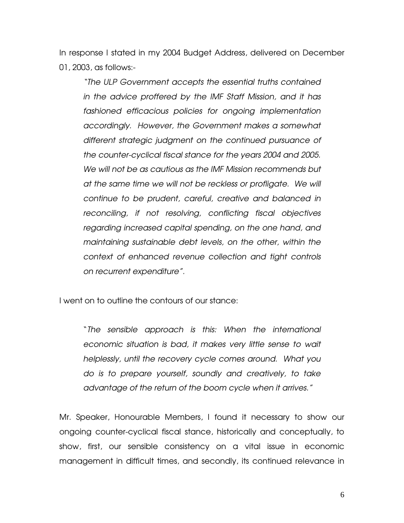In response I stated in my 2004 Budget Address, delivered on December 01, 2003, as follows:-

*"The ULP Government accepts the essential truths contained in the advice proffered by the IMF Staff Mission, and it has fashioned efficacious policies for ongoing implementation accordingly. However, the Government makes a somewhat different strategic judgment on the continued pursuance of the counter-cyclical fiscal stance for the years 2004 and 2005. We will not be as cautious as the IMF Mission recommends but at the same time we will not be reckless or profligate. We will continue to be prudent, careful, creative and balanced in reconciling, if not resolving, conflicting fiscal objectives regarding increased capital spending, on the one hand, and maintaining sustainable debt levels, on the other, within the context of enhanced revenue collection and tight controls on recurrent expenditure".*

I went on to outline the contours of our stance:

"*The sensible approach is this: When the international economic situation is bad, it makes very little sense to wait helplessly, until the recovery cycle comes around. What you do is to prepare yourself, soundly and creatively, to take advantage of the return of the boom cycle when it arrives."* 

Mr. Speaker, Honourable Members, I found it necessary to show our ongoing counter-cyclical fiscal stance, historically and conceptually, to show, first, our sensible consistency on a vital issue in economic management in difficult times, and secondly, its continued relevance in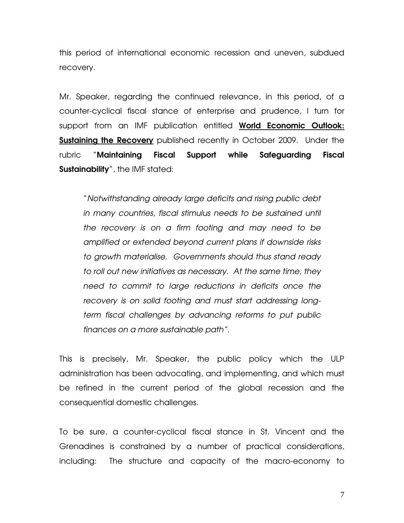this period of international economic recession and uneven, subdued recovery.

Mr. Speaker, regarding the continued relevance, in this period, of a counter-cyclical fiscal stance of enterprise and prudence, I turn for support from an IMF publication entitled World Economic Outlook: **Sustaining the Recovery** published recently in October 2009. Under the rubric "Maintaining Fiscal Support while Safeguarding Fiscal **Sustainability**", the IMF stated:

"*Notwithstanding already large deficits and rising public debt in many countries, fiscal stimulus needs to be sustained until the recovery is on a firm footing and may need to be amplified or extended beyond current plans if downside risks to growth materialise. Governments should thus stand ready to roll out new initiatives as necessary. At the same time, they need to commit to large reductions in deficits once the recovery is on solid footing and must start addressing longterm fiscal challenges by advancing reforms to put public finances on a more sustainable path".* 

This is precisely, Mr. Speaker, the public policy which the ULP administration has been advocating, and implementing, and which must be refined in the current period of the global recession and the consequential domestic challenges.

To be sure, a counter-cyclical fiscal stance in St. Vincent and the Grenadines is constrained by a number of practical considerations, including: The structure and capacity of the macro-economy to

7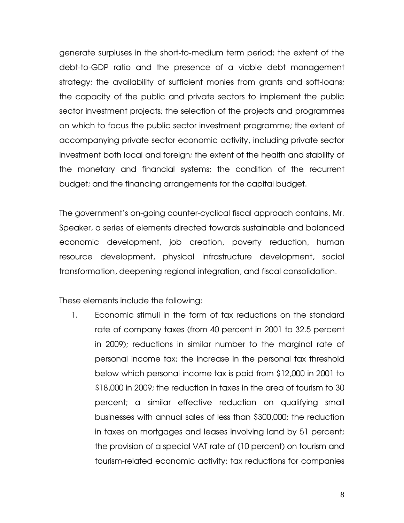generate surpluses in the short-to-medium term period; the extent of the debt-to-GDP ratio and the presence of a viable debt management strategy; the availability of sufficient monies from grants and soft-loans; the capacity of the public and private sectors to implement the public sector investment projects; the selection of the projects and programmes on which to focus the public sector investment programme; the extent of accompanying private sector economic activity, including private sector investment both local and foreign; the extent of the health and stability of the monetary and financial systems; the condition of the recurrent budget; and the financing arrangements for the capital budget.

The government's on-going counter-cyclical fiscal approach contains, Mr. Speaker, a series of elements directed towards sustainable and balanced economic development, job creation, poverty reduction, human resource development, physical infrastructure development, social transformation, deepening regional integration, and fiscal consolidation.

These elements include the following:

1. Economic stimuli in the form of tax reductions on the standard rate of company taxes (from 40 percent in 2001 to 32.5 percent in 2009); reductions in similar number to the marginal rate of personal income tax; the increase in the personal tax threshold below which personal income tax is paid from \$12,000 in 2001 to \$18,000 in 2009; the reduction in taxes in the area of tourism to 30 percent; a similar effective reduction on qualifying small businesses with annual sales of less than \$300,000; the reduction in taxes on mortgages and leases involving land by 51 percent; the provision of a special VAT rate of (10 percent) on tourism and tourism-related economic activity; tax reductions for companies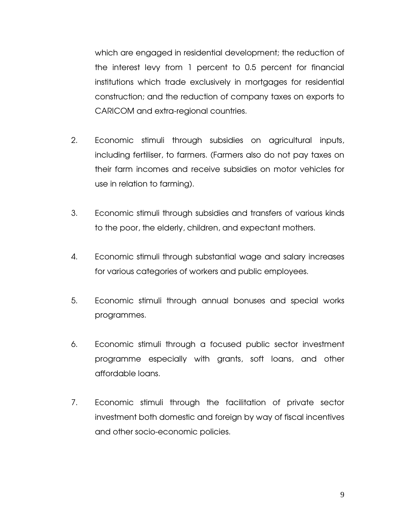which are engaged in residential development; the reduction of the interest levy from 1 percent to 0.5 percent for financial institutions which trade exclusively in mortgages for residential construction; and the reduction of company taxes on exports to CARICOM and extra-regional countries.

- 2. Economic stimuli through subsidies on agricultural inputs, including fertiliser, to farmers. (Farmers also do not pay taxes on their farm incomes and receive subsidies on motor vehicles for use in relation to farming).
- 3. Economic stimuli through subsidies and transfers of various kinds to the poor, the elderly, children, and expectant mothers.
- 4. Economic stimuli through substantial wage and salary increases for various categories of workers and public employees.
- 5. Economic stimuli through annual bonuses and special works programmes.
- 6. Economic stimuli through a focused public sector investment programme especially with grants, soft loans, and other affordable loans.
- 7. Economic stimuli through the facilitation of private sector investment both domestic and foreign by way of fiscal incentives and other socio-economic policies.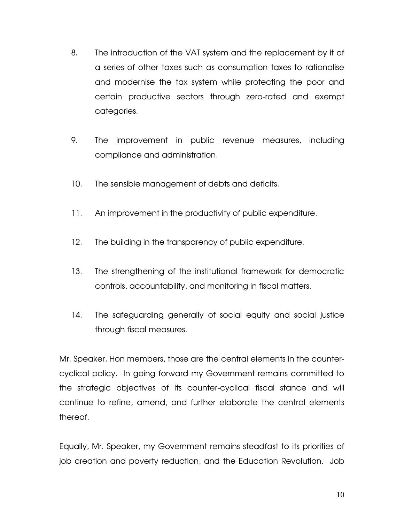- 8. The introduction of the VAT system and the replacement by it of a series of other taxes such as consumption taxes to rationalise and modernise the tax system while protecting the poor and certain productive sectors through zero-rated and exempt categories.
- 9. The improvement in public revenue measures, including compliance and administration.
- 10. The sensible management of debts and deficits.
- 11. An improvement in the productivity of public expenditure.
- 12. The building in the transparency of public expenditure.
- 13. The strengthening of the institutional framework for democratic controls, accountability, and monitoring in fiscal matters.
- 14. The safeguarding generally of social equity and social justice through fiscal measures.

Mr. Speaker, Hon members, those are the central elements in the countercyclical policy. In going forward my Government remains committed to the strategic objectives of its counter-cyclical fiscal stance and will continue to refine, amend, and further elaborate the central elements thereof.

Equally, Mr. Speaker, my Government remains steadfast to its priorities of job creation and poverty reduction, and the Education Revolution. Job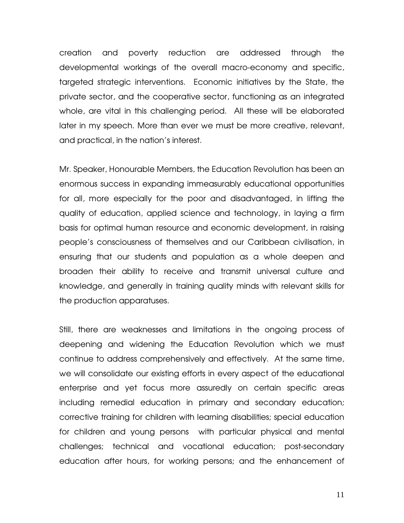creation and poverty reduction are addressed through the developmental workings of the overall macro-economy and specific, targeted strategic interventions. Economic initiatives by the State, the private sector, and the cooperative sector, functioning as an integrated whole, are vital in this challenging period. All these will be elaborated later in my speech. More than ever we must be more creative, relevant, and practical, in the nation's interest.

Mr. Speaker, Honourable Members, the Education Revolution has been an enormous success in expanding immeasurably educational opportunities for all, more especially for the poor and disadvantaged, in lifting the quality of education, applied science and technology, in laying a firm basis for optimal human resource and economic development, in raising people's consciousness of themselves and our Caribbean civilisation, in ensuring that our students and population as a whole deepen and broaden their ability to receive and transmit universal culture and knowledge, and generally in training quality minds with relevant skills for the production apparatuses.

Still, there are weaknesses and limitations in the ongoing process of deepening and widening the Education Revolution which we must continue to address comprehensively and effectively. At the same time, we will consolidate our existing efforts in every aspect of the educational enterprise and yet focus more assuredly on certain specific areas including remedial education in primary and secondary education; corrective training for children with learning disabilities; special education for children and young persons with particular physical and mental challenges; technical and vocational education; post-secondary education after hours, for working persons; and the enhancement of

11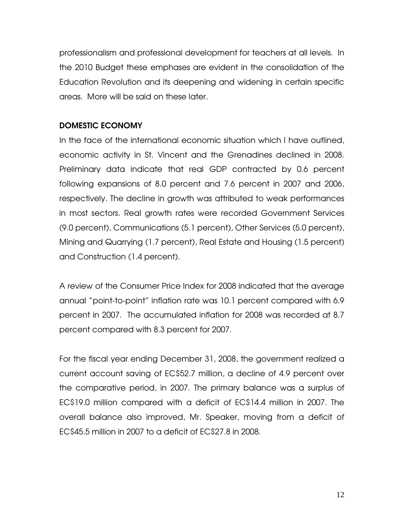professionalism and professional development for teachers at all levels. In the 2010 Budget these emphases are evident in the consolidation of the Education Revolution and its deepening and widening in certain specific areas. More will be said on these later.

# DOMESTIC ECONOMY

In the face of the international economic situation which I have outlined, economic activity in St. Vincent and the Grenadines declined in 2008. Preliminary data indicate that real GDP contracted by 0.6 percent following expansions of 8.0 percent and 7.6 percent in 2007 and 2006, respectively. The decline in growth was attributed to weak performances in most sectors. Real growth rates were recorded Government Services (9.0 percent), Communications (5.1 percent), Other Services (5.0 percent), Mining and Quarrying (1.7 percent), Real Estate and Housing (1.5 percent) and Construction (1.4 percent).

A review of the Consumer Price Index for 2008 indicated that the average annual "point-to-point" inflation rate was 10.1 percent compared with 6.9 percent in 2007. The accumulated inflation for 2008 was recorded at 8.7 percent compared with 8.3 percent for 2007.

For the fiscal year ending December 31, 2008, the government realized a current account saving of EC\$52.7 million, a decline of 4.9 percent over the comparative period, in 2007. The primary balance was a surplus of EC\$19.0 million compared with a deficit of EC\$14.4 million in 2007. The overall balance also improved, Mr. Speaker, moving from a deficit of EC\$45.5 million in 2007 to a deficit of EC\$27.8 in 2008.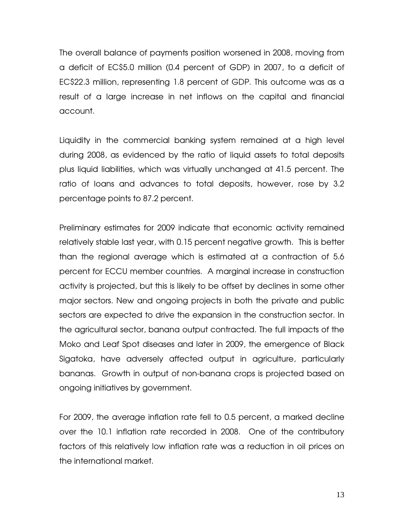The overall balance of payments position worsened in 2008, moving from a deficit of EC\$5.0 million (0.4 percent of GDP) in 2007, to a deficit of EC\$22.3 million, representing 1.8 percent of GDP. This outcome was as a result of a large increase in net inflows on the capital and financial account.

Liquidity in the commercial banking system remained at a high level during 2008, as evidenced by the ratio of liquid assets to total deposits plus liquid liabilities, which was virtually unchanged at 41.5 percent. The ratio of loans and advances to total deposits, however, rose by 3.2 percentage points to 87.2 percent.

Preliminary estimates for 2009 indicate that economic activity remained relatively stable last year, with 0.15 percent negative growth. This is better than the regional average which is estimated at a contraction of 5.6 percent for ECCU member countries. A marginal increase in construction activity is projected, but this is likely to be offset by declines in some other major sectors. New and ongoing projects in both the private and public sectors are expected to drive the expansion in the construction sector. In the agricultural sector, banana output contracted. The full impacts of the Moko and Leaf Spot diseases and later in 2009, the emergence of Black Sigatoka, have adversely affected output in agriculture, particularly bananas. Growth in output of non-banana crops is projected based on ongoing initiatives by government.

For 2009, the average inflation rate fell to 0.5 percent, a marked decline over the 10.1 inflation rate recorded in 2008. One of the contributory factors of this relatively low inflation rate was a reduction in oil prices on the international market.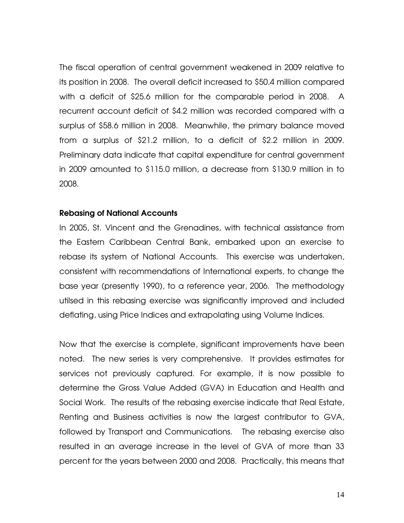The fiscal operation of central government weakened in 2009 relative to its position in 2008. The overall deficit increased to \$50.4 million compared with a deficit of \$25.6 million for the comparable period in 2008. A recurrent account deficit of \$4.2 million was recorded compared with a surplus of \$58.6 million in 2008. Meanwhile, the primary balance moved from a surplus of \$21.2 million, to a deficit of \$2.2 million in 2009. Preliminary data indicate that capital expenditure for central government in 2009 amounted to \$115.0 million, a decrease from \$130.9 million in to 2008.

#### Rebasing of National Accounts

In 2005, St. Vincent and the Grenadines, with technical assistance from the Eastern Caribbean Central Bank, embarked upon an exercise to rebase its system of National Accounts. This exercise was undertaken, consistent with recommendations of International experts, to change the base year (presently 1990), to a reference year, 2006. The methodology utilsed in this rebasing exercise was significantly improved and included deflating, using Price Indices and extrapolating using Volume Indices.

Now that the exercise is complete, significant improvements have been noted. The new series is very comprehensive. It provides estimates for services not previously captured. For example, it is now possible to determine the Gross Value Added (GVA) in Education and Health and Social Work. The results of the rebasing exercise indicate that Real Estate, Renting and Business activities is now the largest contributor to GVA, followed by Transport and Communications. The rebasing exercise also resulted in an average increase in the level of GVA of more than 33 percent for the years between 2000 and 2008. Practically, this means that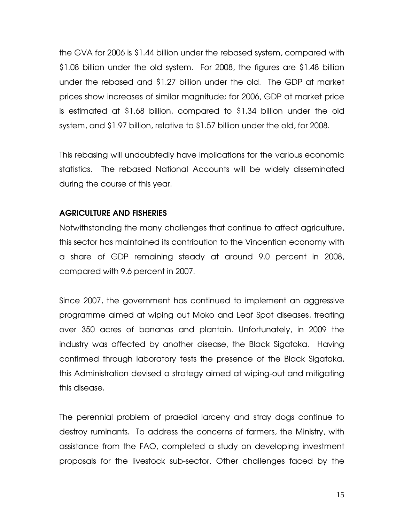the GVA for 2006 is \$1.44 billion under the rebased system, compared with \$1.08 billion under the old system. For 2008, the figures are \$1.48 billion under the rebased and \$1.27 billion under the old. The GDP at market prices show increases of similar magnitude; for 2006, GDP at market price is estimated at \$1.68 billion, compared to \$1.34 billion under the old system, and \$1.97 billion, relative to \$1.57 billion under the old, for 2008.

This rebasing will undoubtedly have implications for the various economic statistics. The rebased National Accounts will be widely disseminated during the course of this year.

# AGRICULTURE AND FISHERIES

Notwithstanding the many challenges that continue to affect agriculture, this sector has maintained its contribution to the Vincentian economy with a share of GDP remaining steady at around 9.0 percent in 2008, compared with 9.6 percent in 2007.

Since 2007, the government has continued to implement an aggressive programme aimed at wiping out Moko and Leaf Spot diseases, treating over 350 acres of bananas and plantain. Unfortunately, in 2009 the industry was affected by another disease, the Black Sigatoka. Having confirmed through laboratory tests the presence of the Black Sigatoka, this Administration devised a strategy aimed at wiping-out and mitigating this disease.

The perennial problem of praedial larceny and stray dogs continue to destroy ruminants. To address the concerns of farmers, the Ministry, with assistance from the FAO, completed a study on developing investment proposals for the livestock sub-sector. Other challenges faced by the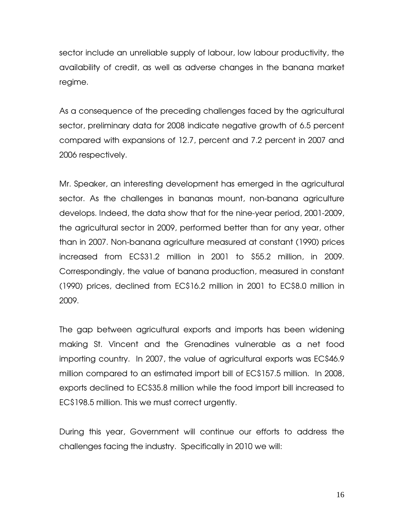sector include an unreliable supply of labour, low labour productivity, the availability of credit, as well as adverse changes in the banana market regime.

As a consequence of the preceding challenges faced by the agricultural sector, preliminary data for 2008 indicate negative growth of 6.5 percent compared with expansions of 12.7, percent and 7.2 percent in 2007 and 2006 respectively.

Mr. Speaker, an interesting development has emerged in the agricultural sector. As the challenges in bananas mount, non-banana agriculture develops. Indeed, the data show that for the nine-year period, 2001-2009, the agricultural sector in 2009, performed better than for any year, other than in 2007. Non-banana agriculture measured at constant (1990) prices increased from EC\$31.2 million in 2001 to \$55.2 million, in 2009. Correspondingly, the value of banana production, measured in constant (1990) prices, declined from EC\$16.2 million in 2001 to EC\$8.0 million in 2009.

The gap between agricultural exports and imports has been widening making St. Vincent and the Grenadines vulnerable as a net food importing country. In 2007, the value of agricultural exports was EC\$46.9 million compared to an estimated import bill of EC\$157.5 million. In 2008, exports declined to EC\$35.8 million while the food import bill increased to EC\$198.5 million. This we must correct urgently.

During this year, Government will continue our efforts to address the challenges facing the industry. Specifically in 2010 we will: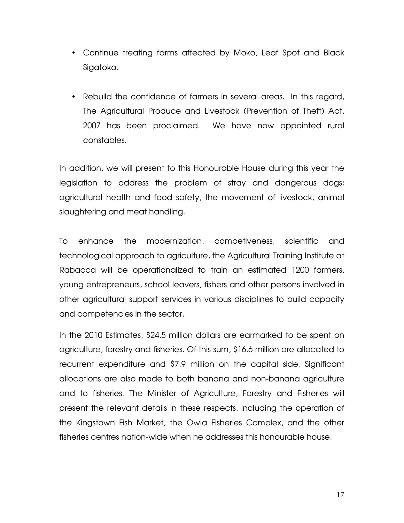- Continue treating farms affected by Moko, Leaf Spot and Black Sigatoka.
- Rebuild the confidence of farmers in several areas. In this regard, The Agricultural Produce and Livestock (Prevention of Theft) Act, 2007 has been proclaimed. We have now appointed rural constables.

In addition, we will present to this Honourable House during this year the legislation to address the problem of stray and dangerous dogs; agricultural health and food safety, the movement of livestock, animal slaughtering and meat handling.

To enhance the modernization, competiveness, scientific and technological approach to agriculture, the Agricultural Training Institute at Rabacca will be operationalized to train an estimated 1200 farmers, young entrepreneurs, school leavers, fishers and other persons involved in other agricultural support services in various disciplines to build capacity and competencies in the sector.

In the 2010 Estimates, \$24.5 million dollars are earmarked to be spent on agriculture, forestry and fisheries. Of this sum, \$16.6 million are allocated to recurrent expenditure and \$7.9 million on the capital side. Significant allocations are also made to both banana and non-banana agriculture and to fisheries. The Minister of Agriculture, Forestry and Fisheries will present the relevant details in these respects, including the operation of the Kingstown Fish Market, the Owia Fisheries Complex, and the other fisheries centres nation-wide when he addresses this honourable house.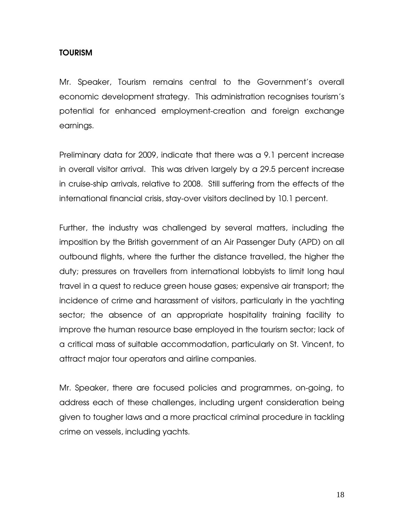# TOURISM

Mr. Speaker, Tourism remains central to the Government's overall economic development strategy. This administration recognises tourism's potential for enhanced employment-creation and foreign exchange earnings.

Preliminary data for 2009, indicate that there was a 9.1 percent increase in overall visitor arrival. This was driven largely by a 29.5 percent increase in cruise-ship arrivals, relative to 2008. Still suffering from the effects of the international financial crisis, stay-over visitors declined by 10.1 percent.

Further, the industry was challenged by several matters, including the imposition by the British government of an Air Passenger Duty (APD) on all outbound flights, where the further the distance travelled, the higher the duty; pressures on travellers from international lobbyists to limit long haul travel in a quest to reduce green house gases; expensive air transport; the incidence of crime and harassment of visitors, particularly in the yachting sector; the absence of an appropriate hospitality training facility to improve the human resource base employed in the tourism sector; lack of a critical mass of suitable accommodation, particularly on St. Vincent, to attract major tour operators and airline companies.

Mr. Speaker, there are focused policies and programmes, on-going, to address each of these challenges, including urgent consideration being given to tougher laws and a more practical criminal procedure in tackling crime on vessels, including yachts.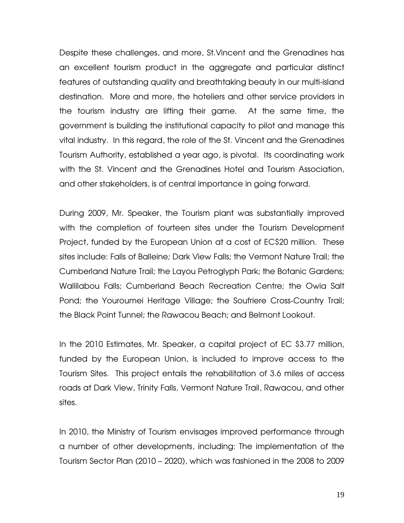Despite these challenges, and more, St.Vincent and the Grenadines has an excellent tourism product in the aggregate and particular distinct features of outstanding quality and breathtaking beauty in our multi-island destination. More and more, the hoteliers and other service providers in the tourism industry are lifting their game. At the same time, the government is building the institutional capacity to pilot and manage this vital industry. In this regard, the role of the St. Vincent and the Grenadines Tourism Authority, established a year ago, is pivotal. Its coordinating work with the St. Vincent and the Grenadines Hotel and Tourism Association, and other stakeholders, is of central importance in going forward.

During 2009, Mr. Speaker, the Tourism plant was substantially improved with the completion of fourteen sites under the Tourism Development Project, funded by the European Union at a cost of EC\$20 million. These sites include: Falls of Balleine; Dark View Falls; the Vermont Nature Trail; the Cumberland Nature Trail; the Layou Petroglyph Park; the Botanic Gardens; Wallilabou Falls; Cumberland Beach Recreation Centre; the Owia Salt Pond; the Youroumei Heritage Village; the Soufriere Cross-Country Trail; the Black Point Tunnel; the Rawacou Beach; and Belmont Lookout.

In the 2010 Estimates, Mr. Speaker, a capital project of EC \$3.77 million, funded by the European Union, is included to improve access to the Tourism Sites. This project entails the rehabilitation of 3.6 miles of access roads at Dark View, Trinity Falls, Vermont Nature Trail, Rawacou, and other sites.

In 2010, the Ministry of Tourism envisages improved performance through a number of other developments, including: The implementation of the Tourism Sector Plan (2010 – 2020), which was fashioned in the 2008 to 2009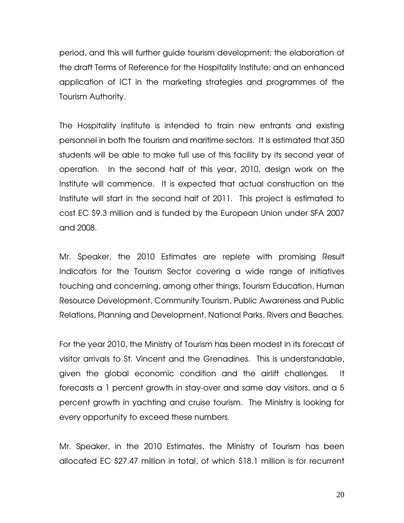period, and this will further guide tourism development; the elaboration of the draft Terms of Reference for the Hospitality Institute; and an enhanced application of ICT in the marketing strategies and programmes of the Tourism Authority.

The Hospitality Institute is intended to train new entrants and existing personnel in both the tourism and maritime sectors. It is estimated that 350 students will be able to make full use of this facility by its second year of operation. In the second half of this year, 2010, design work on the Institute will commence. It is expected that actual construction on the Institute will start in the second half of 2011. This project is estimated to cost EC \$9.3 million and is funded by the European Union under SFA 2007 and 2008.

Mr. Speaker, the 2010 Estimates are replete with promising Result Indicators for the Tourism Sector covering a wide range of initiatives touching and concerning, among other things, Tourism Education, Human Resource Development, Community Tourism, Public Awareness and Public Relations, Planning and Development, National Parks, Rivers and Beaches.

For the year 2010, the Ministry of Tourism has been modest in its forecast of visitor arrivals to St. Vincent and the Grenadines. This is understandable, given the global economic condition and the airlift challenges. It forecasts a 1 percent growth in stay-over and same day visitors, and a 5 percent growth in yachting and cruise tourism. The Ministry is looking for every opportunity to exceed these numbers.

Mr. Speaker, in the 2010 Estimates, the Ministry of Tourism has been allocated EC \$27.47 million in total, of which \$18.1 million is for recurrent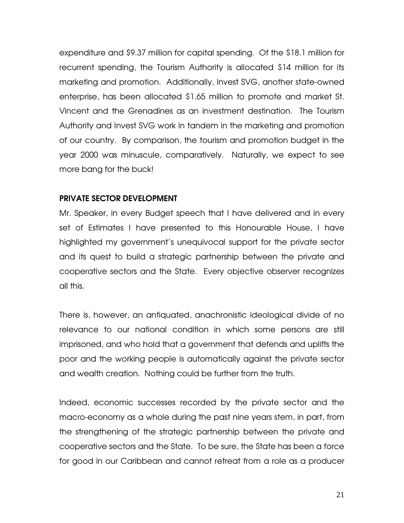expenditure and \$9.37 million for capital spending. Of the \$18.1 million for recurrent spending, the Tourism Authority is allocated \$14 million for its marketing and promotion. Additionally, Invest SVG, another state-owned enterprise, has been allocated \$1.65 million to promote and market St. Vincent and the Grenadines as an investment destination. The Tourism Authority and Invest SVG work in tandem in the marketing and promotion of our country. By comparison, the tourism and promotion budget in the year 2000 was minuscule, comparatively. Naturally, we expect to see more bang for the buck!

## PRIVATE SECTOR DEVELOPMENT

Mr. Speaker, in every Budget speech that I have delivered and in every set of Estimates I have presented to this Honourable House, I have highlighted my government's unequivocal support for the private sector and its quest to build a strategic partnership between the private and cooperative sectors and the State. Every objective observer recognizes all this.

There is, however, an antiquated, anachronistic ideological divide of no relevance to our national condition in which some persons are still imprisoned, and who hold that a government that defends and uplifts the poor and the working people is automatically against the private sector and wealth creation. Nothing could be further from the truth.

Indeed, economic successes recorded by the private sector and the macro-economy as a whole during the past nine years stem, in part, from the strengthening of the strategic partnership between the private and cooperative sectors and the State. To be sure, the State has been a force for good in our Caribbean and cannot retreat from a role as a producer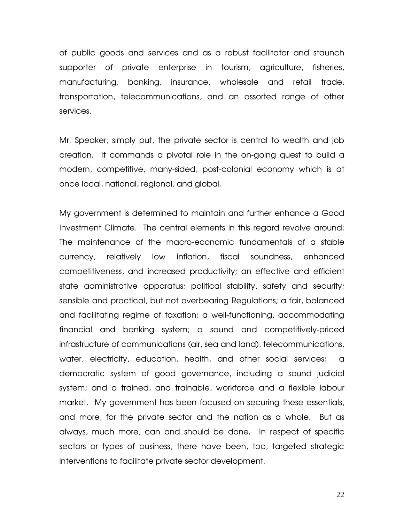of public goods and services and as a robust facilitator and staunch supporter of private enterprise in tourism, agriculture, fisheries, manufacturing, banking, insurance, wholesale and retail trade, transportation, telecommunications, and an assorted range of other services.

Mr. Speaker, simply put, the private sector is central to wealth and job creation. It commands a pivotal role in the on-going quest to build a modern, competitive, many-sided, post-colonial economy which is at once local, national, regional, and global.

My government is determined to maintain and further enhance a Good Investment Climate. The central elements in this regard revolve around: The maintenance of the macro-economic fundamentals of a stable currency, relatively low inflation, fiscal soundness, enhanced competitiveness, and increased productivity; an effective and efficient state administrative apparatus; political stability, safety and security; sensible and practical, but not overbearing Regulations; a fair, balanced and facilitating regime of taxation; a well-functioning, accommodating financial and banking system; a sound and competitively-priced infrastructure of communications (air, sea and land), telecommunications, water, electricity, education, health, and other social services; a democratic system of good governance, including a sound judicial system; and a trained, and trainable, workforce and a flexible labour market. My government has been focused on securing these essentials, and more, for the private sector and the nation as a whole. But as always, much more, can and should be done. In respect of specific sectors or types of business, there have been, too, targeted strategic interventions to facilitate private sector development.

22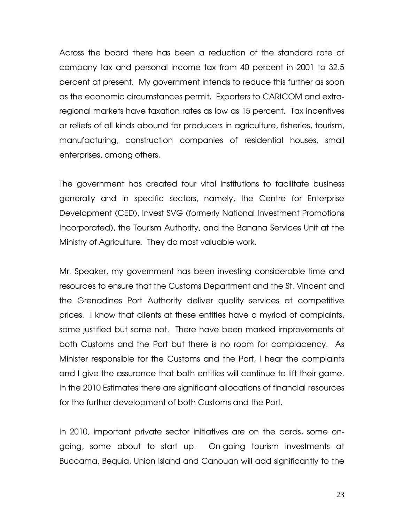Across the board there has been a reduction of the standard rate of company tax and personal income tax from 40 percent in 2001 to 32.5 percent at present. My government intends to reduce this further as soon as the economic circumstances permit. Exporters to CARICOM and extraregional markets have taxation rates as low as 15 percent. Tax incentives or reliefs of all kinds abound for producers in agriculture, fisheries, tourism, manufacturing, construction companies of residential houses, small enterprises, among others.

The government has created four vital institutions to facilitate business generally and in specific sectors, namely, the Centre for Enterprise Development (CED), Invest SVG (formerly National Investment Promotions Incorporated), the Tourism Authority, and the Banana Services Unit at the Ministry of Agriculture. They do most valuable work.

Mr. Speaker, my government has been investing considerable time and resources to ensure that the Customs Department and the St. Vincent and the Grenadines Port Authority deliver quality services at competitive prices. I know that clients at these entities have a myriad of complaints, some justified but some not. There have been marked improvements at both Customs and the Port but there is no room for complacency. As Minister responsible for the Customs and the Port, I hear the complaints and I give the assurance that both entities will continue to lift their game. In the 2010 Estimates there are significant allocations of financial resources for the further development of both Customs and the Port.

In 2010, important private sector initiatives are on the cards, some ongoing, some about to start up. On-going tourism investments at Buccama, Bequia, Union Island and Canouan will add significantly to the

23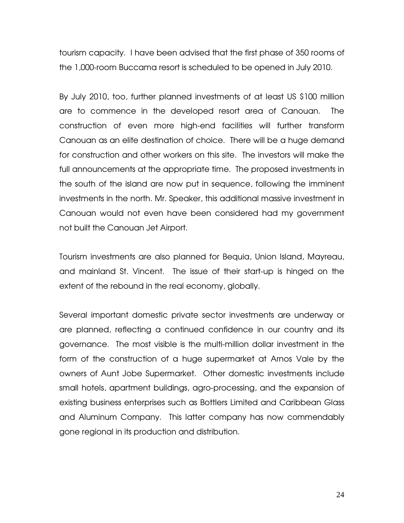tourism capacity. I have been advised that the first phase of 350 rooms of the 1,000-room Buccama resort is scheduled to be opened in July 2010.

By July 2010, too, further planned investments of at least US \$100 million are to commence in the developed resort area of Canouan. The construction of even more high-end facilities will further transform Canouan as an elite destination of choice. There will be a huge demand for construction and other workers on this site. The investors will make the full announcements at the appropriate time. The proposed investments in the south of the island are now put in sequence, following the imminent investments in the north. Mr. Speaker, this additional massive investment in Canouan would not even have been considered had my government not built the Canouan Jet Airport.

Tourism investments are also planned for Bequia, Union Island, Mayreau, and mainland St. Vincent. The issue of their start-up is hinged on the extent of the rebound in the real economy, globally.

Several important domestic private sector investments are underway or are planned, reflecting a continued confidence in our country and its governance. The most visible is the multi-million dollar investment in the form of the construction of a huge supermarket at Arnos Vale by the owners of Aunt Jobe Supermarket. Other domestic investments include small hotels, apartment buildings, agro-processing, and the expansion of existing business enterprises such as Bottlers Limited and Caribbean Glass and Aluminum Company. This latter company has now commendably gone regional in its production and distribution.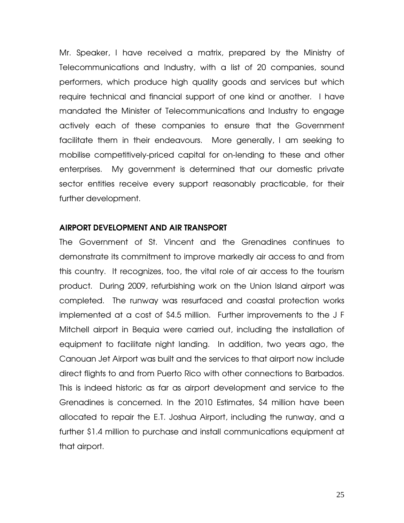Mr. Speaker, I have received a matrix, prepared by the Ministry of Telecommunications and Industry, with a list of 20 companies, sound performers, which produce high quality goods and services but which require technical and financial support of one kind or another. I have mandated the Minister of Telecommunications and Industry to engage actively each of these companies to ensure that the Government facilitate them in their endeavours. More generally, I am seeking to mobilise competitively-priced capital for on-lending to these and other enterprises. My government is determined that our domestic private sector entities receive every support reasonably practicable, for their further development.

#### AIRPORT DEVELOPMENT AND AIR TRANSPORT

The Government of St. Vincent and the Grenadines continues to demonstrate its commitment to improve markedly air access to and from this country. It recognizes, too, the vital role of air access to the tourism product. During 2009, refurbishing work on the Union Island airport was completed. The runway was resurfaced and coastal protection works implemented at a cost of \$4.5 million. Further improvements to the J F Mitchell airport in Bequia were carried out, including the installation of equipment to facilitate night landing. In addition, two years ago, the Canouan Jet Airport was built and the services to that airport now include direct flights to and from Puerto Rico with other connections to Barbados. This is indeed historic as far as airport development and service to the Grenadines is concerned. In the 2010 Estimates, \$4 million have been allocated to repair the E.T. Joshua Airport, including the runway, and a further \$1.4 million to purchase and install communications equipment at that airport.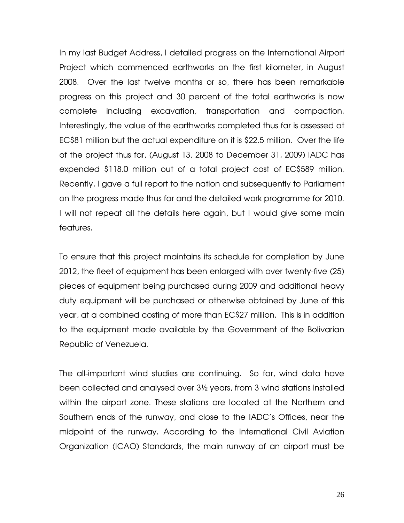In my last Budget Address, I detailed progress on the International Airport Project which commenced earthworks on the first kilometer, in August 2008. Over the last twelve months or so, there has been remarkable progress on this project and 30 percent of the total earthworks is now complete including excavation, transportation and compaction. Interestingly, the value of the earthworks completed thus far is assessed at EC\$81 million but the actual expenditure on it is \$22.5 million. Over the life of the project thus far, (August 13, 2008 to December 31, 2009) IADC has expended \$118.0 million out of a total project cost of EC\$589 million. Recently, I gave a full report to the nation and subsequently to Parliament on the progress made thus far and the detailed work programme for 2010. I will not repeat all the details here again, but I would give some main features.

To ensure that this project maintains its schedule for completion by June 2012, the fleet of equipment has been enlarged with over twenty-five (25) pieces of equipment being purchased during 2009 and additional heavy duty equipment will be purchased or otherwise obtained by June of this year, at a combined costing of more than EC\$27 million. This is in addition to the equipment made available by the Government of the Bolivarian Republic of Venezuela.

The all-important wind studies are continuing. So far, wind data have been collected and analysed over 3½ years, from 3 wind stations installed within the airport zone. These stations are located at the Northern and Southern ends of the runway, and close to the IADC's Offices, near the midpoint of the runway. According to the International Civil Aviation Organization (ICAO) Standards, the main runway of an airport must be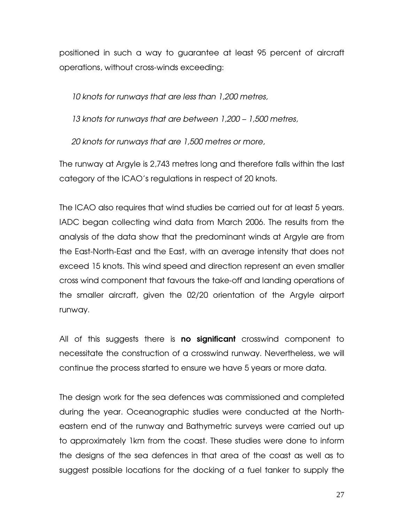positioned in such a way to guarantee at least 95 percent of aircraft operations, without cross-winds exceeding:

*10 knots for runways that are less than 1,200 metres,* 

*13 knots for runways that are between 1,200 – 1,500 metres,* 

*20 knots for runways that are 1,500 metres or more,*

The runway at Argyle is 2,743 metres long and therefore falls within the last category of the ICAO's regulations in respect of 20 knots.

The ICAO also requires that wind studies be carried out for at least 5 years. IADC began collecting wind data from March 2006. The results from the analysis of the data show that the predominant winds at Argyle are from the East-North-East and the East, with an average intensity that does not exceed 15 knots. This wind speed and direction represent an even smaller cross wind component that favours the take-off and landing operations of the smaller aircraft, given the 02/20 orientation of the Argyle airport runway.

All of this suggests there is **no significant** crosswind component to necessitate the construction of a crosswind runway. Nevertheless, we will continue the process started to ensure we have 5 years or more data.

The design work for the sea defences was commissioned and completed during the year. Oceanographic studies were conducted at the Northeastern end of the runway and Bathymetric surveys were carried out up to approximately 1km from the coast. These studies were done to inform the designs of the sea defences in that area of the coast as well as to suggest possible locations for the docking of a fuel tanker to supply the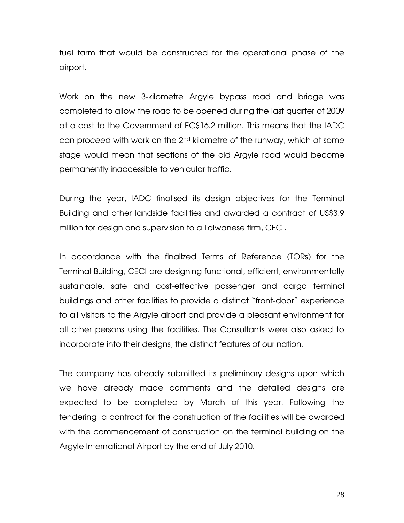fuel farm that would be constructed for the operational phase of the airport.

Work on the new 3-kilometre Argyle bypass road and bridge was completed to allow the road to be opened during the last quarter of 2009 at a cost to the Government of EC\$16.2 million. This means that the IADC can proceed with work on the 2<sup>nd</sup> kilometre of the runway, which at some stage would mean that sections of the old Argyle road would become permanently inaccessible to vehicular traffic.

During the year, IADC finalised its design objectives for the Terminal Building and other landside facilities and awarded a contract of US\$3.9 million for design and supervision to a Taiwanese firm, CECI.

In accordance with the finalized Terms of Reference (TORs) for the Terminal Building, CECI are designing functional, efficient, environmentally sustainable, safe and cost-effective passenger and cargo terminal buildings and other facilities to provide a distinct "front-door" experience to all visitors to the Argyle airport and provide a pleasant environment for all other persons using the facilities. The Consultants were also asked to incorporate into their designs, the distinct features of our nation.

The company has already submitted its preliminary designs upon which we have already made comments and the detailed designs are expected to be completed by March of this year. Following the tendering, a contract for the construction of the facilities will be awarded with the commencement of construction on the terminal building on the Argyle International Airport by the end of July 2010.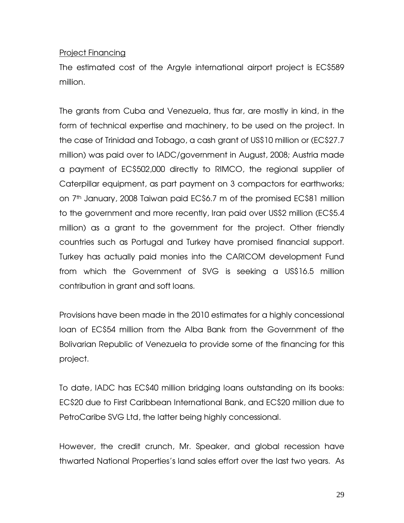### Project Financing

The estimated cost of the Argyle international airport project is EC\$589 million.

The grants from Cuba and Venezuela, thus far, are mostly in kind, in the form of technical expertise and machinery, to be used on the project. In the case of Trinidad and Tobago, a cash grant of US\$10 million or (EC\$27.7 million) was paid over to IADC/government in August, 2008; Austria made a payment of EC\$502,000 directly to RIMCO, the regional supplier of Caterpillar equipment, as part payment on 3 compactors for earthworks; on 7th January, 2008 Taiwan paid EC\$6.7 m of the promised EC\$81 million to the government and more recently, Iran paid over US\$2 million (EC\$5.4 million) as a grant to the government for the project. Other friendly countries such as Portugal and Turkey have promised financial support. Turkey has actually paid monies into the CARICOM development Fund from which the Government of SVG is seeking a US\$16.5 million contribution in grant and soft loans.

Provisions have been made in the 2010 estimates for a highly concessional loan of EC\$54 million from the Alba Bank from the Government of the Bolivarian Republic of Venezuela to provide some of the financing for this project.

To date, IADC has EC\$40 million bridging loans outstanding on its books: EC\$20 due to First Caribbean International Bank, and EC\$20 million due to PetroCaribe SVG Ltd, the latter being highly concessional.

However, the credit crunch, Mr. Speaker, and global recession have thwarted National Properties's land sales effort over the last two years. As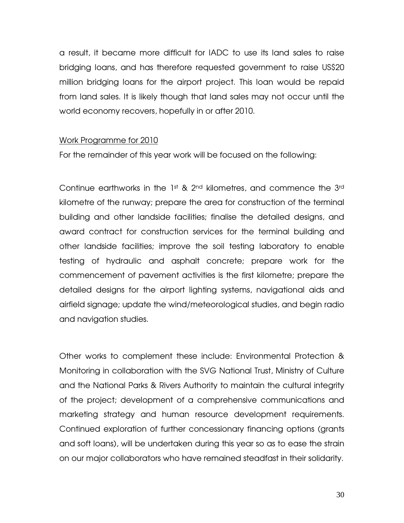a result, it became more difficult for IADC to use its land sales to raise bridging loans, and has therefore requested government to raise US\$20 million bridging loans for the airport project. This loan would be repaid from land sales. It is likely though that land sales may not occur until the world economy recovers, hopefully in or after 2010.

#### Work Programme for 2010

For the remainder of this year work will be focused on the following:

Continue earthworks in the 1st & 2nd kilometres, and commence the 3rd kilometre of the runway; prepare the area for construction of the terminal building and other landside facilities; finalise the detailed designs, and award contract for construction services for the terminal building and other landside facilities; improve the soil testing laboratory to enable testing of hydraulic and asphalt concrete; prepare work for the commencement of pavement activities is the first kilometre; prepare the detailed designs for the airport lighting systems, navigational aids and airfield signage; update the wind/meteorological studies, and begin radio and navigation studies.

Other works to complement these include: Environmental Protection & Monitoring in collaboration with the SVG National Trust, Ministry of Culture and the National Parks & Rivers Authority to maintain the cultural integrity of the project; development of a comprehensive communications and marketing strategy and human resource development requirements. Continued exploration of further concessionary financing options (grants and soft loans), will be undertaken during this year so as to ease the strain on our major collaborators who have remained steadfast in their solidarity.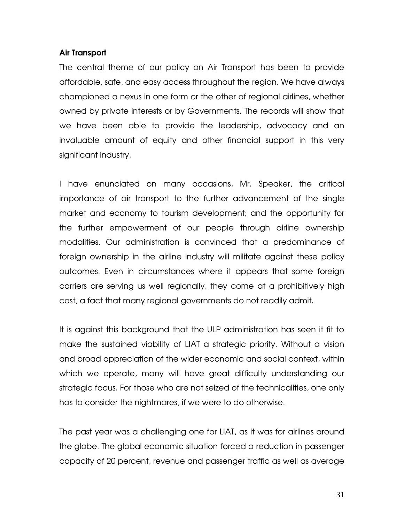### Air Transport

The central theme of our policy on Air Transport has been to provide affordable, safe, and easy access throughout the region. We have always championed a nexus in one form or the other of regional airlines, whether owned by private interests or by Governments. The records will show that we have been able to provide the leadership, advocacy and an invaluable amount of equity and other financial support in this very significant industry.

I have enunciated on many occasions, Mr. Speaker, the critical importance of air transport to the further advancement of the single market and economy to tourism development; and the opportunity for the further empowerment of our people through airline ownership modalities. Our administration is convinced that a predominance of foreign ownership in the airline industry will militate against these policy outcomes. Even in circumstances where it appears that some foreign carriers are serving us well regionally, they come at a prohibitively high cost, a fact that many regional governments do not readily admit.

It is against this background that the ULP administration has seen it fit to make the sustained viability of LIAT a strategic priority. Without a vision and broad appreciation of the wider economic and social context, within which we operate, many will have great difficulty understanding our strategic focus. For those who are not seized of the technicalities, one only has to consider the nightmares, if we were to do otherwise.

The past year was a challenging one for LIAT, as it was for airlines around the globe. The global economic situation forced a reduction in passenger capacity of 20 percent, revenue and passenger traffic as well as average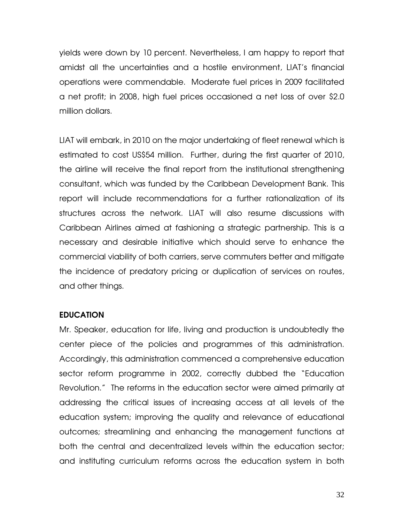yields were down by 10 percent. Nevertheless, I am happy to report that amidst all the uncertainties and a hostile environment, LIAT's financial operations were commendable. Moderate fuel prices in 2009 facilitated a net profit; in 2008, high fuel prices occasioned a net loss of over \$2.0 million dollars.

LIAT will embark, in 2010 on the major undertaking of fleet renewal which is estimated to cost US\$54 million. Further, during the first quarter of 2010, the airline will receive the final report from the institutional strengthening consultant, which was funded by the Caribbean Development Bank. This report will include recommendations for a further rationalization of its structures across the network. LIAT will also resume discussions with Caribbean Airlines aimed at fashioning a strategic partnership. This is a necessary and desirable initiative which should serve to enhance the commercial viability of both carriers, serve commuters better and mitigate the incidence of predatory pricing or duplication of services on routes, and other things.

# EDUCATION

Mr. Speaker, education for life, living and production is undoubtedly the center piece of the policies and programmes of this administration. Accordingly, this administration commenced a comprehensive education sector reform programme in 2002, correctly dubbed the "Education Revolution." The reforms in the education sector were aimed primarily at addressing the critical issues of increasing access at all levels of the education system; improving the quality and relevance of educational outcomes; streamlining and enhancing the management functions at both the central and decentralized levels within the education sector; and instituting curriculum reforms across the education system in both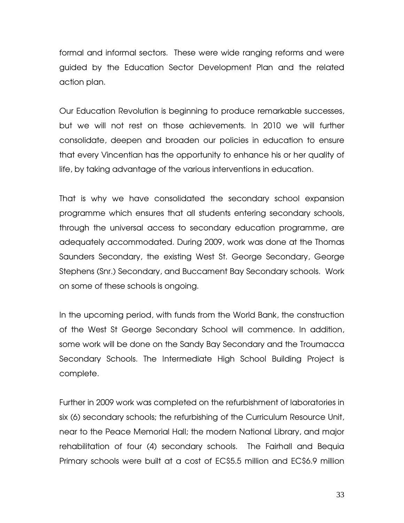formal and informal sectors. These were wide ranging reforms and were guided by the Education Sector Development Plan and the related action plan.

Our Education Revolution is beginning to produce remarkable successes, but we will not rest on those achievements. In 2010 we will further consolidate, deepen and broaden our policies in education to ensure that every Vincentian has the opportunity to enhance his or her quality of life, by taking advantage of the various interventions in education.

That is why we have consolidated the secondary school expansion programme which ensures that all students entering secondary schools, through the universal access to secondary education programme, are adequately accommodated. During 2009, work was done at the Thomas Saunders Secondary, the existing West St. George Secondary, George Stephens (Snr.) Secondary, and Buccament Bay Secondary schools. Work on some of these schools is ongoing.

In the upcoming period, with funds from the World Bank, the construction of the West St George Secondary School will commence. In addition, some work will be done on the Sandy Bay Secondary and the Troumacca Secondary Schools. The Intermediate High School Building Project is complete.

Further in 2009 work was completed on the refurbishment of laboratories in six (6) secondary schools; the refurbishing of the Curriculum Resource Unit, near to the Peace Memorial Hall; the modern National Library, and major rehabilitation of four (4) secondary schools. The Fairhall and Bequia Primary schools were built at a cost of EC\$5.5 million and EC\$6.9 million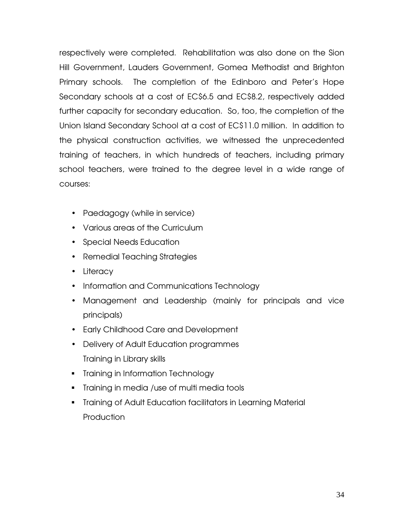respectively were completed. Rehabilitation was also done on the Sion Hill Government, Lauders Government, Gomea Methodist and Brighton Primary schools. The completion of the Edinboro and Peter's Hope Secondary schools at a cost of EC\$6.5 and EC\$8.2, respectively added further capacity for secondary education. So, too, the completion of the Union Island Secondary School at a cost of EC\$11.0 million. In addition to the physical construction activities, we witnessed the unprecedented training of teachers, in which hundreds of teachers, including primary school teachers, were trained to the degree level in a wide range of courses:

- Paedagogy (while in service)
- Various areas of the Curriculum
- Special Needs Education
- Remedial Teaching Strategies
- Literacy
- Information and Communications Technology
- Management and Leadership (mainly for principals and vice principals)
- Early Childhood Care and Development
- Delivery of Adult Education programmes Training in Library skills
- **Training in Information Technology**
- **Training in media /use of multi media tools**
- **Training of Adult Education facilitators in Learning Material Production**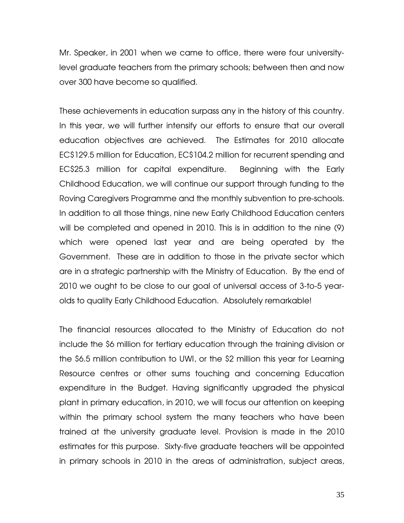Mr. Speaker, in 2001 when we came to office, there were four universitylevel graduate teachers from the primary schools; between then and now over 300 have become so qualified.

These achievements in education surpass any in the history of this country. In this year, we will further intensify our efforts to ensure that our overall education objectives are achieved. The Estimates for 2010 allocate EC\$129.5 million for Education, EC\$104.2 million for recurrent spending and EC\$25.3 million for capital expenditure. Beginning with the Early Childhood Education, we will continue our support through funding to the Roving Caregivers Programme and the monthly subvention to pre-schools. In addition to all those things, nine new Early Childhood Education centers will be completed and opened in 2010. This is in addition to the nine (9) which were opened last year and are being operated by the Government. These are in addition to those in the private sector which are in a strategic partnership with the Ministry of Education. By the end of 2010 we ought to be close to our goal of universal access of 3-to-5 yearolds to quality Early Childhood Education. Absolutely remarkable!

The financial resources allocated to the Ministry of Education do not include the \$6 million for tertiary education through the training division or the \$6.5 million contribution to UWI, or the \$2 million this year for Learning Resource centres or other sums touching and concerning Education expenditure in the Budget. Having significantly upgraded the physical plant in primary education, in 2010, we will focus our attention on keeping within the primary school system the many teachers who have been trained at the university graduate level. Provision is made in the 2010 estimates for this purpose. Sixty-five graduate teachers will be appointed in primary schools in 2010 in the areas of administration, subject areas,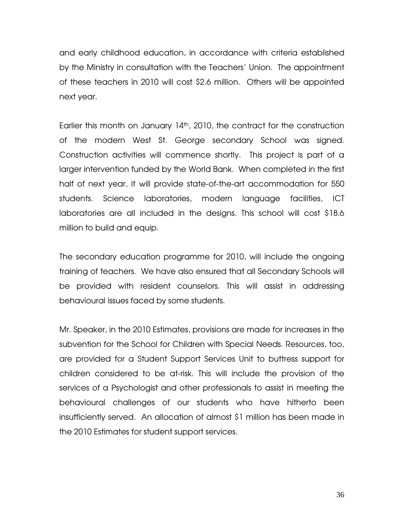and early childhood education, in accordance with criteria established by the Ministry in consultation with the Teachers' Union. The appointment of these teachers in 2010 will cost \$2.6 million. Others will be appointed next year.

Earlier this month on January  $14<sup>th</sup>$ , 2010, the contract for the construction of the modern West St. George secondary School was signed. Construction activities will commence shortly. This project is part of a larger intervention funded by the World Bank. When completed in the first half of next year, it will provide state-of-the-art accommodation for 550 students. Science laboratories, modern language facilities, ICT laboratories are all included in the designs. This school will cost \$18.6 million to build and equip.

The secondary education programme for 2010, will include the ongoing training of teachers. We have also ensured that all Secondary Schools will be provided with resident counselors. This will assist in addressing behavioural issues faced by some students.

Mr. Speaker, in the 2010 Estimates, provisions are made for increases in the subvention for the School for Children with Special Needs. Resources, too, are provided for a Student Support Services Unit to buttress support for children considered to be at-risk. This will include the provision of the services of a Psychologist and other professionals to assist in meeting the behavioural challenges of our students who have hitherto been insufficiently served. An allocation of almost \$1 million has been made in the 2010 Estimates for student support services.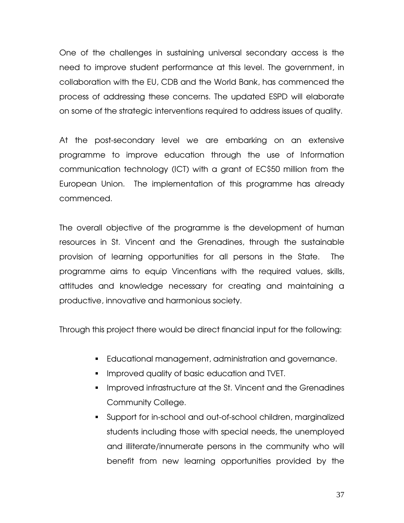One of the challenges in sustaining universal secondary access is the need to improve student performance at this level. The government, in collaboration with the EU, CDB and the World Bank, has commenced the process of addressing these concerns. The updated ESPD will elaborate on some of the strategic interventions required to address issues of quality.

At the post-secondary level we are embarking on an extensive programme to improve education through the use of Information communication technology (ICT) with a grant of EC\$50 million from the European Union. The implementation of this programme has already commenced.

The overall objective of the programme is the development of human resources in St. Vincent and the Grenadines, through the sustainable provision of learning opportunities for all persons in the State. The programme aims to equip Vincentians with the required values, skills, attitudes and knowledge necessary for creating and maintaining a productive, innovative and harmonious society.

Through this project there would be direct financial input for the following:

- Educational management, administration and governance.
- **IMPROVED quality of basic education and TVET.**
- **IMPROVED Infrastructure at the St. Vincent and the Grenadines** Community College.
- Support for in-school and out-of-school children, marginalized students including those with special needs, the unemployed and illiterate/innumerate persons in the community who will benefit from new learning opportunities provided by the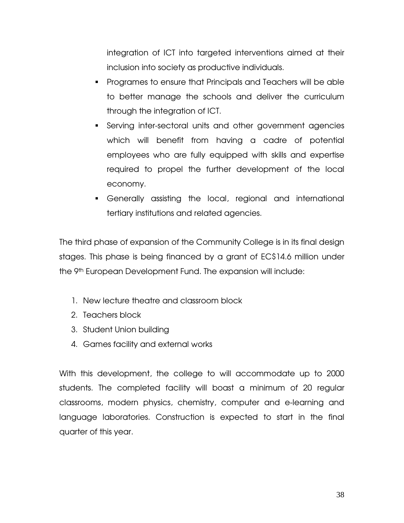integration of ICT into targeted interventions aimed at their inclusion into society as productive individuals.

- Programes to ensure that Principals and Teachers will be able to better manage the schools and deliver the curriculum through the integration of ICT.
- Serving inter-sectoral units and other government agencies which will benefit from having a cadre of potential employees who are fully equipped with skills and expertise required to propel the further development of the local economy.
- Generally assisting the local, regional and international tertiary institutions and related agencies.

The third phase of expansion of the Community College is in its final design stages. This phase is being financed by a grant of EC\$14.6 million under the 9th European Development Fund. The expansion will include:

- 1. New lecture theatre and classroom block
- 2. Teachers block
- 3. Student Union building
- 4. Games facility and external works

With this development, the college to will accommodate up to 2000 students. The completed facility will boast a minimum of 20 regular classrooms, modern physics, chemistry, computer and e-learning and language laboratories. Construction is expected to start in the final quarter of this year.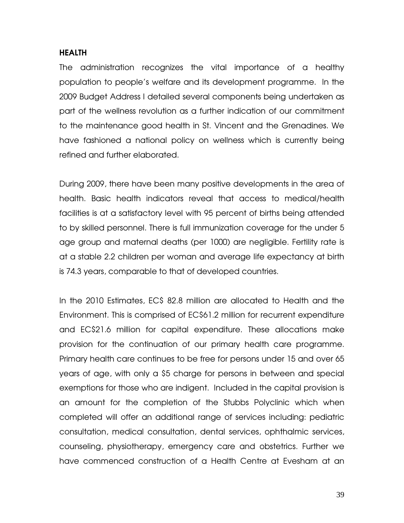#### HEALTH

The administration recognizes the vital importance of a healthy population to people's welfare and its development programme. In the 2009 Budget Address I detailed several components being undertaken as part of the wellness revolution as a further indication of our commitment to the maintenance good health in St. Vincent and the Grenadines. We have fashioned a national policy on wellness which is currently being refined and further elaborated.

During 2009, there have been many positive developments in the area of health. Basic health indicators reveal that access to medical/health facilities is at a satisfactory level with 95 percent of births being attended to by skilled personnel. There is full immunization coverage for the under 5 age group and maternal deaths (per 1000) are negligible. Fertility rate is at a stable 2.2 children per woman and average life expectancy at birth is 74.3 years, comparable to that of developed countries.

In the 2010 Estimates, EC\$ 82.8 million are allocated to Health and the Environment. This is comprised of EC\$61.2 million for recurrent expenditure and EC\$21.6 million for capital expenditure. These allocations make provision for the continuation of our primary health care programme. Primary health care continues to be free for persons under 15 and over 65 years of age, with only a \$5 charge for persons in between and special exemptions for those who are indigent. Included in the capital provision is an amount for the completion of the Stubbs Polyclinic which when completed will offer an additional range of services including: pediatric consultation, medical consultation, dental services, ophthalmic services, counseling, physiotherapy, emergency care and obstetrics. Further we have commenced construction of a Health Centre at Evesham at an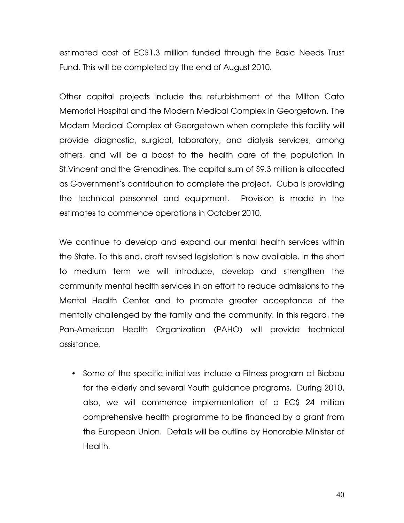estimated cost of EC\$1.3 million funded through the Basic Needs Trust Fund. This will be completed by the end of August 2010.

Other capital projects include the refurbishment of the Milton Cato Memorial Hospital and the Modern Medical Complex in Georgetown. The Modern Medical Complex at Georgetown when complete this facility will provide diagnostic, surgical, laboratory, and dialysis services, among others, and will be a boost to the health care of the population in St.Vincent and the Grenadines. The capital sum of \$9.3 million is allocated as Government's contribution to complete the project. Cuba is providing the technical personnel and equipment. Provision is made in the estimates to commence operations in October 2010.

We continue to develop and expand our mental health services within the State. To this end, draft revised legislation is now available. In the short to medium term we will introduce, develop and strengthen the community mental health services in an effort to reduce admissions to the Mental Health Center and to promote greater acceptance of the mentally challenged by the family and the community. In this regard, the Pan-American Health Organization (PAHO) will provide technical assistance.

• Some of the specific initiatives include a Fitness program at Biabou for the elderly and several Youth guidance programs. During 2010, also, we will commence implementation of a EC\$ 24 million comprehensive health programme to be financed by a grant from the European Union. Details will be outline by Honorable Minister of Health.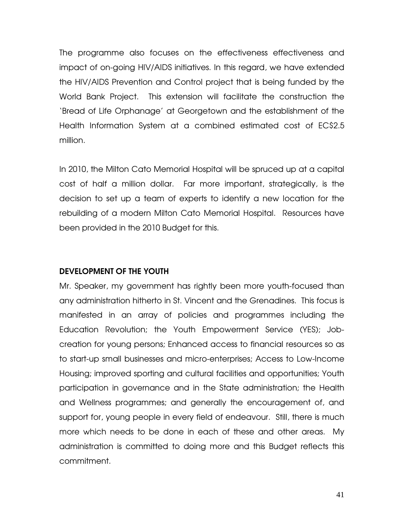The programme also focuses on the effectiveness effectiveness and impact of on-going HIV/AIDS initiatives. In this regard, we have extended the HIV/AIDS Prevention and Control project that is being funded by the World Bank Project. This extension will facilitate the construction the 'Bread of Life Orphanage' at Georgetown and the establishment of the Health Information System at a combined estimated cost of EC\$2.5 million.

In 2010, the Milton Cato Memorial Hospital will be spruced up at a capital cost of half a million dollar. Far more important, strategically, is the decision to set up a team of experts to identify a new location for the rebuilding of a modern Milton Cato Memorial Hospital. Resources have been provided in the 2010 Budget for this.

# DEVELOPMENT OF THE YOUTH

Mr. Speaker, my government has rightly been more youth-focused than any administration hitherto in St. Vincent and the Grenadines. This focus is manifested in an array of policies and programmes including the Education Revolution; the Youth Empowerment Service (YES); Jobcreation for young persons; Enhanced access to financial resources so as to start-up small businesses and micro-enterprises; Access to Low-Income Housing; improved sporting and cultural facilities and opportunities; Youth participation in governance and in the State administration; the Health and Wellness programmes; and generally the encouragement of, and support for, young people in every field of endeavour. Still, there is much more which needs to be done in each of these and other areas. My administration is committed to doing more and this Budget reflects this commitment.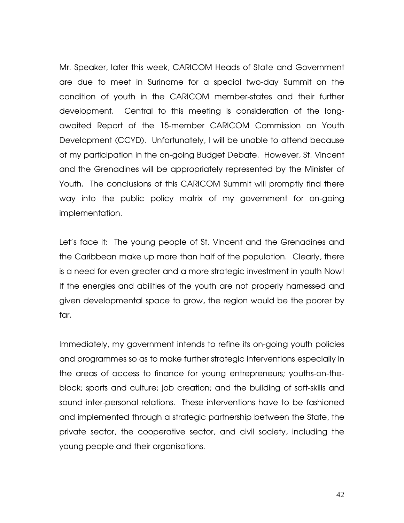Mr. Speaker, later this week, CARICOM Heads of State and Government are due to meet in Suriname for a special two-day Summit on the condition of youth in the CARICOM member-states and their further development. Central to this meeting is consideration of the longawaited Report of the 15-member CARICOM Commission on Youth Development (CCYD). Unfortunately, I will be unable to attend because of my participation in the on-going Budget Debate. However, St. Vincent and the Grenadines will be appropriately represented by the Minister of Youth. The conclusions of this CARICOM Summit will promptly find there way into the public policy matrix of my government for on-going implementation.

Let's face it: The young people of St. Vincent and the Grenadines and the Caribbean make up more than half of the population. Clearly, there is a need for even greater and a more strategic investment in youth Now! If the energies and abilities of the youth are not properly harnessed and given developmental space to grow, the region would be the poorer by far.

Immediately, my government intends to refine its on-going youth policies and programmes so as to make further strategic interventions especially in the areas of access to finance for young entrepreneurs; youths-on-theblock; sports and culture; job creation; and the building of soft-skills and sound inter-personal relations. These interventions have to be fashioned and implemented through a strategic partnership between the State, the private sector, the cooperative sector, and civil society, including the young people and their organisations.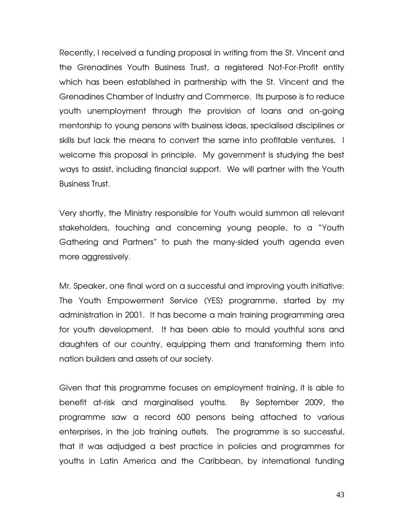Recently, I received a funding proposal in writing from the St. Vincent and the Grenadines Youth Business Trust, a registered Not-For-Profit entity which has been established in partnership with the St. Vincent and the Grenadines Chamber of Industry and Commerce. Its purpose is to reduce youth unemployment through the provision of loans and on-going mentorship to young persons with business ideas, specialised disciplines or skills but lack the means to convert the same into profitable ventures. I welcome this proposal in principle. My government is studying the best ways to assist, including financial support. We will partner with the Youth Business Trust.

Very shortly, the Ministry responsible for Youth would summon all relevant stakeholders, touching and concerning young people, to a "Youth Gathering and Partners" to push the many-sided youth agenda even more aggressively.

Mr. Speaker, one final word on a successful and improving youth initiative: The Youth Empowerment Service (YES) programme, started by my administration in 2001. It has become a main training programming area for youth development. It has been able to mould youthful sons and daughters of our country, equipping them and transforming them into nation builders and assets of our society.

Given that this programme focuses on employment training, it is able to benefit at-risk and marginalised youths. By September 2009, the programme saw a record 600 persons being attached to various enterprises, in the job training outlets. The programme is so successful, that it was adjudged a best practice in policies and programmes for youths in Latin America and the Caribbean, by international funding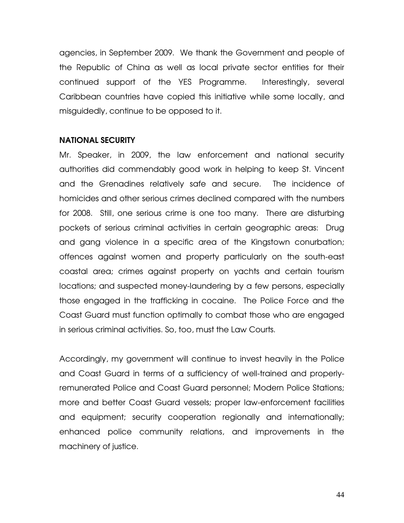agencies, in September 2009. We thank the Government and people of the Republic of China as well as local private sector entities for their continued support of the YES Programme. Interestingly, several Caribbean countries have copied this initiative while some locally, and misguidedly, continue to be opposed to it.

#### NATIONAL SECURITY

Mr. Speaker, in 2009, the law enforcement and national security authorities did commendably good work in helping to keep St. Vincent and the Grenadines relatively safe and secure. The incidence of homicides and other serious crimes declined compared with the numbers for 2008. Still, one serious crime is one too many. There are disturbing pockets of serious criminal activities in certain geographic areas: Drug and gang violence in a specific area of the Kingstown conurbation; offences against women and property particularly on the south-east coastal area; crimes against property on yachts and certain tourism locations; and suspected money-laundering by a few persons, especially those engaged in the trafficking in cocaine. The Police Force and the Coast Guard must function optimally to combat those who are engaged in serious criminal activities. So, too, must the Law Courts.

Accordingly, my government will continue to invest heavily in the Police and Coast Guard in terms of a sufficiency of well-trained and properlyremunerated Police and Coast Guard personnel; Modern Police Stations; more and better Coast Guard vessels; proper law-enforcement facilities and equipment; security cooperation regionally and internationally; enhanced police community relations, and improvements in the machinery of justice.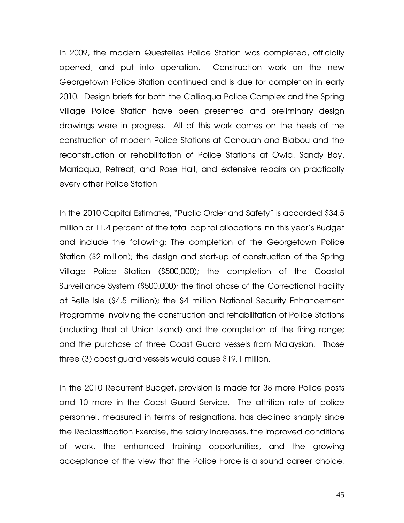In 2009, the modern Questelles Police Station was completed, officially opened, and put into operation. Construction work on the new Georgetown Police Station continued and is due for completion in early 2010. Design briefs for both the Calliaqua Police Complex and the Spring Village Police Station have been presented and preliminary design drawings were in progress. All of this work comes on the heels of the construction of modern Police Stations at Canouan and Biabou and the reconstruction or rehabilitation of Police Stations at Owia, Sandy Bay, Marriaqua, Retreat, and Rose Hall, and extensive repairs on practically every other Police Station.

In the 2010 Capital Estimates, "Public Order and Safety" is accorded \$34.5 million or 11.4 percent of the total capital allocations inn this year's Budget and include the following: The completion of the Georgetown Police Station (\$2 million); the design and start-up of construction of the Spring Village Police Station (\$500,000); the completion of the Coastal Surveillance System (\$500,000); the final phase of the Correctional Facility at Belle Isle (\$4.5 million); the \$4 million National Security Enhancement Programme involving the construction and rehabilitation of Police Stations (including that at Union Island) and the completion of the firing range; and the purchase of three Coast Guard vessels from Malaysian. Those three (3) coast guard vessels would cause \$19.1 million.

In the 2010 Recurrent Budget, provision is made for 38 more Police posts and 10 more in the Coast Guard Service. The attrition rate of police personnel, measured in terms of resignations, has declined sharply since the Reclassification Exercise, the salary increases, the improved conditions of work, the enhanced training opportunities, and the growing acceptance of the view that the Police Force is a sound career choice.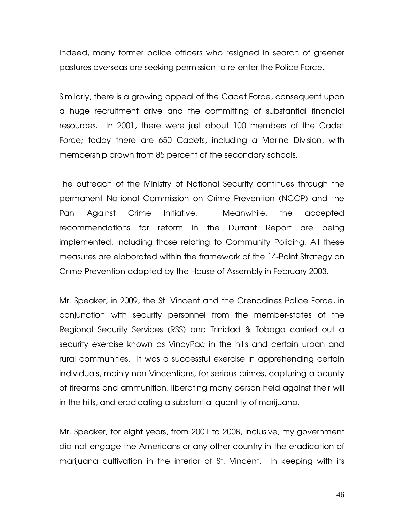Indeed, many former police officers who resigned in search of greener pastures overseas are seeking permission to re-enter the Police Force.

Similarly, there is a growing appeal of the Cadet Force, consequent upon a huge recruitment drive and the committing of substantial financial resources. In 2001, there were just about 100 members of the Cadet Force; today there are 650 Cadets, including a Marine Division, with membership drawn from 85 percent of the secondary schools.

The outreach of the Ministry of National Security continues through the permanent National Commission on Crime Prevention (NCCP) and the Pan Against Crime Initiative. Meanwhile, the accepted recommendations for reform in the Durrant Report are being implemented, including those relating to Community Policing. All these measures are elaborated within the framework of the 14-Point Strategy on Crime Prevention adopted by the House of Assembly in February 2003.

Mr. Speaker, in 2009, the St. Vincent and the Grenadines Police Force, in conjunction with security personnel from the member-states of the Regional Security Services (RSS) and Trinidad & Tobago carried out a security exercise known as VincyPac in the hills and certain urban and rural communities. It was a successful exercise in apprehending certain individuals, mainly non-Vincentians, for serious crimes, capturing a bounty of firearms and ammunition, liberating many person held against their will in the hills, and eradicating a substantial quantity of marijuana.

Mr. Speaker, for eight years, from 2001 to 2008, inclusive, my government did not engage the Americans or any other country in the eradication of marijuana cultivation in the interior of St. Vincent. In keeping with its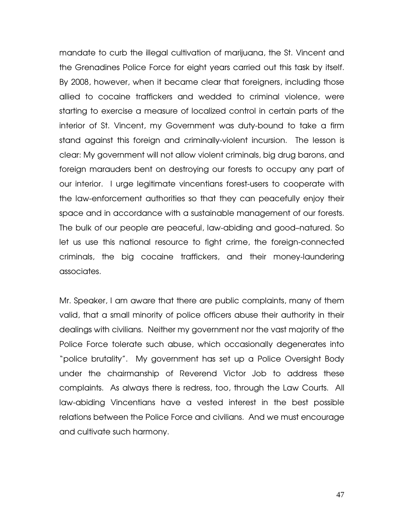mandate to curb the illegal cultivation of marijuana, the St. Vincent and the Grenadines Police Force for eight years carried out this task by itself. By 2008, however, when it became clear that foreigners, including those allied to cocaine traffickers and wedded to criminal violence, were starting to exercise a measure of localized control in certain parts of the interior of St. Vincent, my Government was duty-bound to take a firm stand against this foreign and criminally-violent incursion. The lesson is clear: My government will not allow violent criminals, big drug barons, and foreign marauders bent on destroying our forests to occupy any part of our interior. I urge legitimate vincentians forest-users to cooperate with the law-enforcement authorities so that they can peacefully enjoy their space and in accordance with a sustainable management of our forests. The bulk of our people are peaceful, law-abiding and good–natured. So let us use this national resource to fight crime, the foreign-connected criminals, the big cocaine traffickers, and their money-laundering associates.

Mr. Speaker, I am aware that there are public complaints, many of them valid, that a small minority of police officers abuse their authority in their dealings with civilians. Neither my government nor the vast majority of the Police Force tolerate such abuse, which occasionally degenerates into "police brutality". My government has set up a Police Oversight Body under the chairmanship of Reverend Victor Job to address these complaints. As always there is redress, too, through the Law Courts. All law-abiding Vincentians have a vested interest in the best possible relations between the Police Force and civilians. And we must encourage and cultivate such harmony.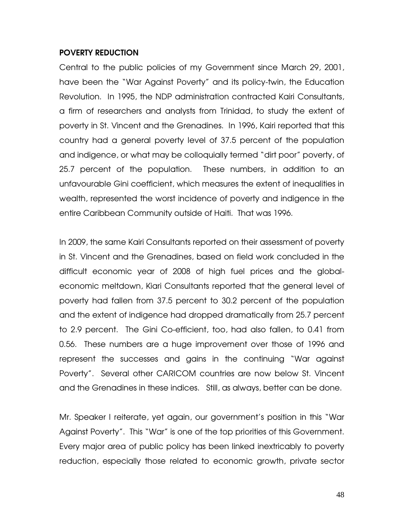## POVERTY REDUCTION

Central to the public policies of my Government since March 29, 2001, have been the "War Against Poverty" and its policy-twin, the Education Revolution. In 1995, the NDP administration contracted Kairi Consultants, a firm of researchers and analysts from Trinidad, to study the extent of poverty in St. Vincent and the Grenadines. In 1996, Kairi reported that this country had a general poverty level of 37.5 percent of the population and indigence, or what may be colloquially termed "dirt poor" poverty, of 25.7 percent of the population. These numbers, in addition to an unfavourable Gini coefficient, which measures the extent of inequalities in wealth, represented the worst incidence of poverty and indigence in the entire Caribbean Community outside of Haiti. That was 1996.

In 2009, the same Kairi Consultants reported on their assessment of poverty in St. Vincent and the Grenadines, based on field work concluded in the difficult economic year of 2008 of high fuel prices and the globaleconomic meltdown, Kiari Consultants reported that the general level of poverty had fallen from 37.5 percent to 30.2 percent of the population and the extent of indigence had dropped dramatically from 25.7 percent to 2.9 percent. The Gini Co-efficient, too, had also fallen, to 0.41 from 0.56. These numbers are a huge improvement over those of 1996 and represent the successes and gains in the continuing "War against Poverty". Several other CARICOM countries are now below St. Vincent and the Grenadines in these indices. Still, as always, better can be done.

Mr. Speaker I reiterate, yet again, our government's position in this "War Against Poverty". This "War" is one of the top priorities of this Government. Every major area of public policy has been linked inextricably to poverty reduction, especially those related to economic growth, private sector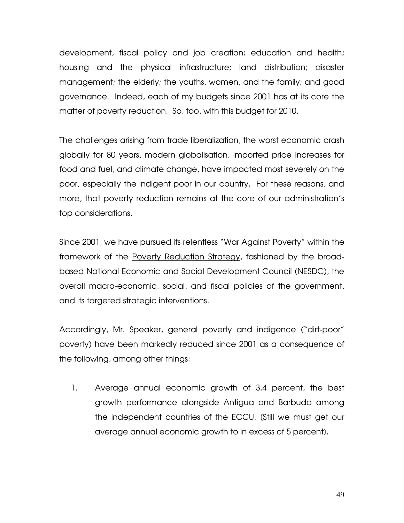development, fiscal policy and job creation; education and health; housing and the physical infrastructure; land distribution; disaster management; the elderly; the youths, women, and the family; and good governance. Indeed, each of my budgets since 2001 has at its core the matter of poverty reduction. So, too, with this budget for 2010.

The challenges arising from trade liberalization, the worst economic crash globally for 80 years, modern globalisation, imported price increases for food and fuel, and climate change, have impacted most severely on the poor, especially the indigent poor in our country. For these reasons, and more, that poverty reduction remains at the core of our administration's top considerations.

Since 2001, we have pursued its relentless "War Against Poverty" within the framework of the Poverty Reduction Strategy, fashioned by the broadbased National Economic and Social Development Council (NESDC), the overall macro-economic, social, and fiscal policies of the government, and its targeted strategic interventions.

Accordingly, Mr. Speaker, general poverty and indigence ("dirt-poor" poverty) have been markedly reduced since 2001 as a consequence of the following, among other things:

1. Average annual economic growth of 3.4 percent, the best growth performance alongside Antigua and Barbuda among the independent countries of the ECCU. [Still we must get our average annual economic growth to in excess of 5 percent].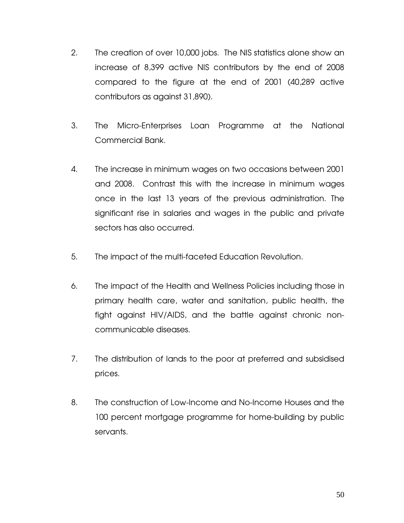- 2. The creation of over 10,000 jobs. The NIS statistics alone show an increase of 8,399 active NIS contributors by the end of 2008 compared to the figure at the end of 2001 (40,289 active contributors as against 31,890).
- 3. The Micro-Enterprises Loan Programme at the National Commercial Bank.
- 4. The increase in minimum wages on two occasions between 2001 and 2008. Contrast this with the increase in minimum wages once in the last 13 years of the previous administration. The significant rise in salaries and wages in the public and private sectors has also occurred.
- 5. The impact of the multi-faceted Education Revolution.
- 6. The impact of the Health and Wellness Policies including those in primary health care, water and sanitation, public health, the fight against HIV/AIDS, and the battle against chronic noncommunicable diseases.
- 7. The distribution of lands to the poor at preferred and subsidised prices.
- 8. The construction of Low-Income and No-Income Houses and the 100 percent mortgage programme for home-building by public servants.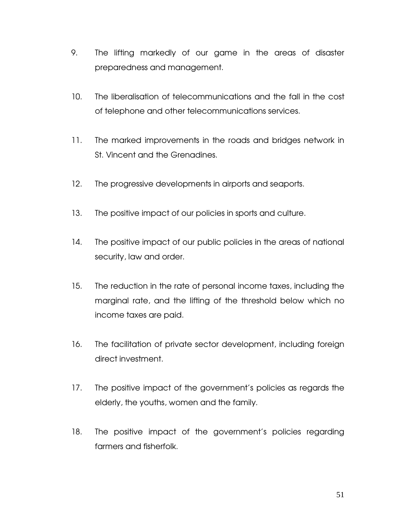- 9. The lifting markedly of our game in the areas of disaster preparedness and management.
- 10. The liberalisation of telecommunications and the fall in the cost of telephone and other telecommunications services.
- 11. The marked improvements in the roads and bridges network in St. Vincent and the Grenadines.
- 12. The progressive developments in airports and seaports.
- 13. The positive impact of our policies in sports and culture.
- 14. The positive impact of our public policies in the areas of national security, law and order.
- 15. The reduction in the rate of personal income taxes, including the marginal rate, and the lifting of the threshold below which no income taxes are paid.
- 16. The facilitation of private sector development, including foreign direct investment.
- 17. The positive impact of the government's policies as regards the elderly, the youths, women and the family.
- 18. The positive impact of the government's policies regarding farmers and fisherfolk.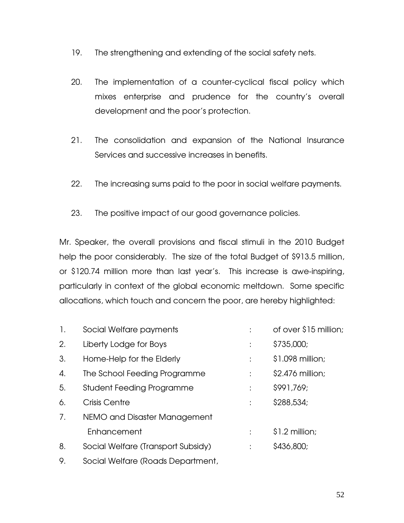- 19. The strengthening and extending of the social safety nets.
- 20. The implementation of a counter-cyclical fiscal policy which mixes enterprise and prudence for the country's overall development and the poor's protection.
- 21. The consolidation and expansion of the National Insurance Services and successive increases in benefits.
- 22. The increasing sums paid to the poor in social welfare payments.
- 23. The positive impact of our good governance policies.

Mr. Speaker, the overall provisions and fiscal stimuli in the 2010 Budget help the poor considerably. The size of the total Budget of \$913.5 million, or \$120.74 million more than last year's. This increase is awe-inspiring, particularly in context of the global economic meltdown. Some specific allocations, which touch and concern the poor, are hereby highlighted:

| $\mathbf{1}$ . | Social Welfare payments            |   | of over \$15 million; |
|----------------|------------------------------------|---|-----------------------|
| 2.             | Liberty Lodge for Boys             | t | \$735,000;            |
| 3.             | Home-Help for the Elderly          | ÷ | \$1.098 million;      |
| 4.             | The School Feeding Programme       | ÷ | \$2.476 million;      |
| 5.             | <b>Student Feeding Programme</b>   | ÷ | \$991,769;            |
| 6.             | Crisis Centre                      | ÷ | \$288,534;            |
| 7.             | NEMO and Disaster Management       |   |                       |
|                | Enhancement                        |   | $$1.2$ million;       |
| 8.             | Social Welfare (Transport Subsidy) | ÷ | \$436,800;            |
| 9.             | Social Welfare (Roads Department,  |   |                       |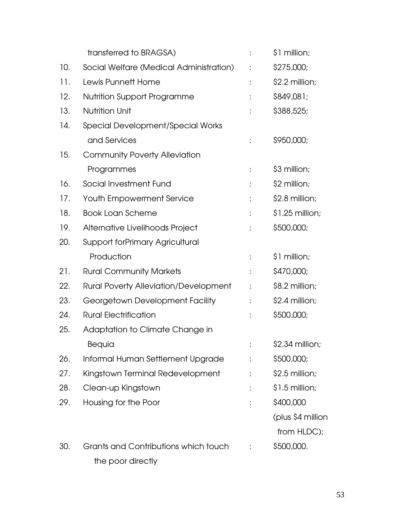|     | transferred to BRAGSA)                       |                      | \$1 million;      |
|-----|----------------------------------------------|----------------------|-------------------|
| 10. | Social Welfare (Medical Administration)      |                      | \$275,000;        |
| 11. | Lewis Punnett Home                           |                      | \$2.2 million;    |
| 12. | Nutrition Support Programme                  |                      | \$849,081;        |
| 13. | <b>Nutrition Unit</b>                        | ÷                    | \$388,525;        |
| 14. | Special Development/Special Works            |                      |                   |
|     | and Services                                 |                      | \$950,000;        |
| 15. | <b>Community Poverty Alleviation</b>         |                      |                   |
|     | Programmes                                   |                      | \$3 million;      |
| 16. | Social Investment Fund                       |                      | \$2 million;      |
| 17. | <b>Youth Empowerment Service</b>             | $\ddot{\phantom{a}}$ | \$2.8 million;    |
| 18. | <b>Book Loan Scheme</b>                      | ÷                    | $$1.25$ million;  |
| 19. | Alternative Livelihoods Project              |                      | \$500,000;        |
| 20. | <b>Support forPrimary Agricultural</b>       |                      |                   |
|     | Production                                   |                      | \$1 million;      |
| 21. | <b>Rural Community Markets</b>               |                      | \$470,000;        |
| 22. | <b>Rural Poverty Alleviation/Development</b> | ÷                    | \$8.2 million;    |
| 23. | Georgetown Development Facility              | ÷                    | \$2.4 million;    |
| 24. | <b>Rural Electrification</b>                 |                      | \$500,000;        |
| 25. | Adaptation to Climate Change in              |                      |                   |
|     | Bequia                                       | t.                   | \$2.34 million;   |
| 26. | Informal Human Settlement Upgrade            |                      | \$500,000;        |
| 27. | Kingstown Terminal Redevelopment             |                      | \$2.5 million;    |
| 28. | Clean-up Kingstown                           |                      | \$1.5 million;    |
| 29. | Housing for the Poor                         |                      | \$400,000         |
|     |                                              |                      | (plus \$4 million |
|     |                                              |                      | from HLDC);       |
| 30. | Grants and Contributions which touch         | ÷                    | \$500,000.        |
|     | the poor directly                            |                      |                   |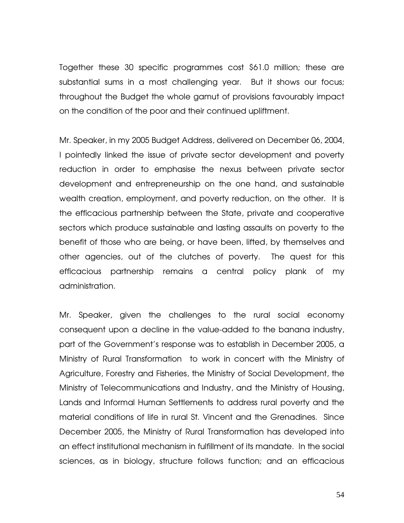Together these 30 specific programmes cost \$61.0 million; these are substantial sums in a most challenging year. But it shows our focus; throughout the Budget the whole gamut of provisions favourably impact on the condition of the poor and their continued upliftment.

Mr. Speaker, in my 2005 Budget Address, delivered on December 06, 2004, I pointedly linked the issue of private sector development and poverty reduction in order to emphasise the nexus between private sector development and entrepreneurship on the one hand, and sustainable wealth creation, employment, and poverty reduction, on the other. It is the efficacious partnership between the State, private and cooperative sectors which produce sustainable and lasting assaults on poverty to the benefit of those who are being, or have been, lifted, by themselves and other agencies, out of the clutches of poverty. The quest for this efficacious partnership remains a central policy plank of my administration.

Mr. Speaker, given the challenges to the rural social economy consequent upon a decline in the value-added to the banana industry, part of the Government's response was to establish in December 2005, a Ministry of Rural Transformation to work in concert with the Ministry of Agriculture, Forestry and Fisheries, the Ministry of Social Development, the Ministry of Telecommunications and Industry, and the Ministry of Housing, Lands and Informal Human Settlements to address rural poverty and the material conditions of life in rural St. Vincent and the Grenadines. Since December 2005, the Ministry of Rural Transformation has developed into an effect institutional mechanism in fulfillment of its mandate. In the social sciences, as in biology, structure follows function; and an efficacious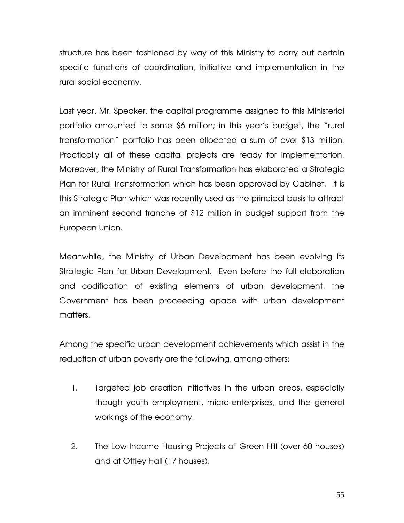structure has been fashioned by way of this Ministry to carry out certain specific functions of coordination, initiative and implementation in the rural social economy.

Last year, Mr. Speaker, the capital programme assigned to this Ministerial portfolio amounted to some \$6 million; in this year's budget, the "rural transformation" portfolio has been allocated a sum of over \$13 million. Practically all of these capital projects are ready for implementation. Moreover, the Ministry of Rural Transformation has elaborated a Strategic Plan for Rural Transformation which has been approved by Cabinet. It is this Strategic Plan which was recently used as the principal basis to attract an imminent second tranche of \$12 million in budget support from the European Union.

Meanwhile, the Ministry of Urban Development has been evolving its Strategic Plan for Urban Development. Even before the full elaboration and codification of existing elements of urban development, the Government has been proceeding apace with urban development matters.

Among the specific urban development achievements which assist in the reduction of urban poverty are the following, among others:

- 1. Targeted job creation initiatives in the urban areas, especially though youth employment, micro-enterprises, and the general workings of the economy.
- 2. The Low-Income Housing Projects at Green Hill (over 60 houses) and at Ottley Hall (17 houses).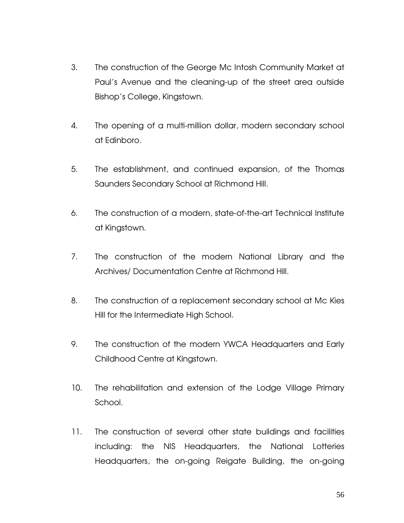- 3. The construction of the George Mc Intosh Community Market at Paul's Avenue and the cleaning-up of the street area outside Bishop's College, Kingstown.
- 4. The opening of a multi-million dollar, modern secondary school at Edinboro.
- 5. The establishment, and continued expansion, of the Thomas Saunders Secondary School at Richmond Hill.
- 6. The construction of a modern, state-of-the-art Technical Institute at Kingstown.
- 7. The construction of the modern National Library and the Archives/ Documentation Centre at Richmond Hill.
- 8. The construction of a replacement secondary school at Mc Kies Hill for the Intermediate High School.
- 9. The construction of the modern YWCA Headquarters and Early Childhood Centre at Kingstown.
- 10. The rehabilitation and extension of the Lodge Village Primary School.
- 11. The construction of several other state buildings and facilities including: the NIS Headquarters, the National Lotteries Headquarters, the on-going Reigate Building, the on-going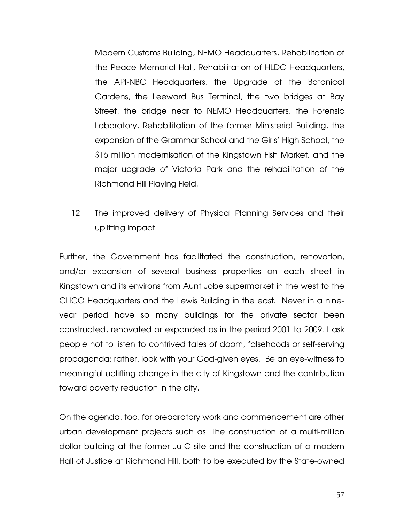Modern Customs Building, NEMO Headquarters, Rehabilitation of the Peace Memorial Hall, Rehabilitation of HLDC Headquarters, the API-NBC Headquarters, the Upgrade of the Botanical Gardens, the Leeward Bus Terminal, the two bridges at Bay Street, the bridge near to NEMO Headquarters, the Forensic Laboratory, Rehabilitation of the former Ministerial Building, the expansion of the Grammar School and the Girls' High School, the \$16 million modernisation of the Kingstown Fish Market; and the major upgrade of Victoria Park and the rehabilitation of the Richmond Hill Playing Field.

12. The improved delivery of Physical Planning Services and their uplifting impact.

Further, the Government has facilitated the construction, renovation, and/or expansion of several business properties on each street in Kingstown and its environs from Aunt Jobe supermarket in the west to the CLICO Headquarters and the Lewis Building in the east. Never in a nineyear period have so many buildings for the private sector been constructed, renovated or expanded as in the period 2001 to 2009. I ask people not to listen to contrived tales of doom, falsehoods or self-serving propaganda; rather, look with your God-given eyes. Be an eye-witness to meaningful uplifting change in the city of Kingstown and the contribution toward poverty reduction in the city.

On the agenda, too, for preparatory work and commencement are other urban development projects such as: The construction of a multi-million dollar building at the former Ju-C site and the construction of a modern Hall of Justice at Richmond Hill, both to be executed by the State-owned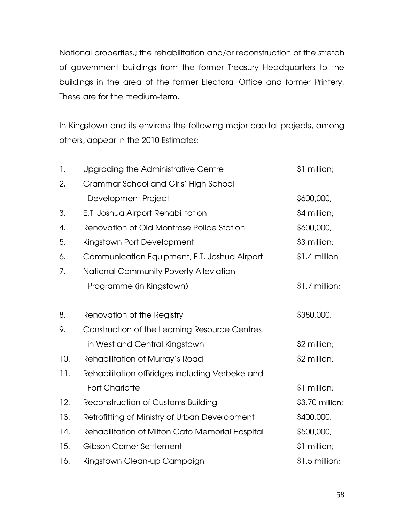National properties.; the rehabilitation and/or reconstruction of the stretch of government buildings from the former Treasury Headquarters to the buildings in the area of the former Electoral Office and former Printery. These are for the medium-term.

In Kingstown and its environs the following major capital projects, among others, appear in the 2010 Estimates:

| 1.  | Upgrading the Administrative Centre             |   | \$1 million;    |
|-----|-------------------------------------------------|---|-----------------|
| 2.  | Grammar School and Girls' High School           |   |                 |
|     | Development Project                             |   | \$600,000;      |
| 3.  | E.T. Joshua Airport Rehabilitation              |   | \$4 million;    |
| 4.  | Renovation of Old Montrose Police Station       |   | \$600,000;      |
| 5.  | Kingstown Port Development                      |   | \$3 million;    |
| 6.  | Communication Equipment, E.T. Joshua Airport    |   | \$1.4 million   |
| 7.  | National Community Poverty Alleviation          |   |                 |
|     | Programme (in Kingstown)                        |   | \$1.7 million;  |
| 8.  | Renovation of the Registry                      |   | \$380,000;      |
| 9.  | Construction of the Learning Resource Centres   |   |                 |
|     | in West and Central Kingstown                   | t | \$2 million;    |
| 10. | Rehabilitation of Murray's Road                 |   | \$2 million;    |
| 11. | Rehabilitation ofBridges including Verbeke and  |   |                 |
|     | <b>Fort Charlotte</b>                           |   | \$1 million;    |
| 12. | <b>Reconstruction of Customs Building</b>       |   | \$3.70 million; |
| 13. | Retrofitting of Ministry of Urban Development   |   | \$400,000;      |
| 14. | Rehabilitation of Milton Cato Memorial Hospital | ÷ | \$500,000;      |
| 15. | <b>Gibson Corner Settlement</b>                 |   | \$1 million;    |
| 16. | Kingstown Clean-up Campaign                     |   | \$1.5 million;  |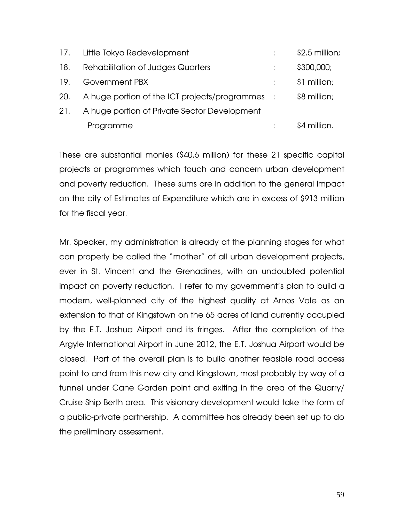| 17. | Little Tokyo Redevelopment                      | $$2.5$ million; |
|-----|-------------------------------------------------|-----------------|
| 18. | <b>Rehabilitation of Judges Quarters</b>        | \$300,000;      |
| 19. | Government PBX                                  | \$1 million;    |
| 20. | A huge portion of the ICT projects/programmes : | \$8 million;    |
| 21. | A huge portion of Private Sector Development    |                 |
|     | Programme                                       | \$4 million.    |

These are substantial monies (\$40.6 million) for these 21 specific capital projects or programmes which touch and concern urban development and poverty reduction. These sums are in addition to the general impact on the city of Estimates of Expenditure which are in excess of \$913 million for the fiscal year.

Mr. Speaker, my administration is already at the planning stages for what can properly be called the "mother" of all urban development projects, ever in St. Vincent and the Grenadines, with an undoubted potential impact on poverty reduction. I refer to my government's plan to build a modern, well-planned city of the highest quality at Arnos Vale as an extension to that of Kingstown on the 65 acres of land currently occupied by the E.T. Joshua Airport and its fringes. After the completion of the Argyle International Airport in June 2012, the E.T. Joshua Airport would be closed. Part of the overall plan is to build another feasible road access point to and from this new city and Kingstown, most probably by way of a tunnel under Cane Garden point and exiting in the area of the Quarry/ Cruise Ship Berth area. This visionary development would take the form of a public-private partnership. A committee has already been set up to do the preliminary assessment.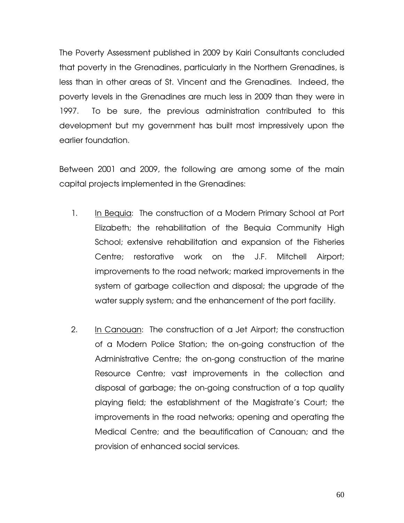The Poverty Assessment published in 2009 by Kairi Consultants concluded that poverty in the Grenadines, particularly in the Northern Grenadines, is less than in other areas of St. Vincent and the Grenadines. Indeed, the poverty levels in the Grenadines are much less in 2009 than they were in 1997. To be sure, the previous administration contributed to this development but my government has built most impressively upon the earlier foundation.

Between 2001 and 2009, the following are among some of the main capital projects implemented in the Grenadines:

- 1. In Bequia: The construction of a Modern Primary School at Port Elizabeth; the rehabilitation of the Bequia Community High School; extensive rehabilitation and expansion of the Fisheries Centre; restorative work on the J.F. Mitchell Airport; improvements to the road network; marked improvements in the system of garbage collection and disposal; the upgrade of the water supply system; and the enhancement of the port facility.
- 2. In Canouan: The construction of a Jet Airport; the construction of a Modern Police Station; the on-going construction of the Administrative Centre; the on-gong construction of the marine Resource Centre; vast improvements in the collection and disposal of garbage; the on-going construction of a top quality playing field; the establishment of the Magistrate's Court; the improvements in the road networks; opening and operating the Medical Centre; and the beautification of Canouan; and the provision of enhanced social services.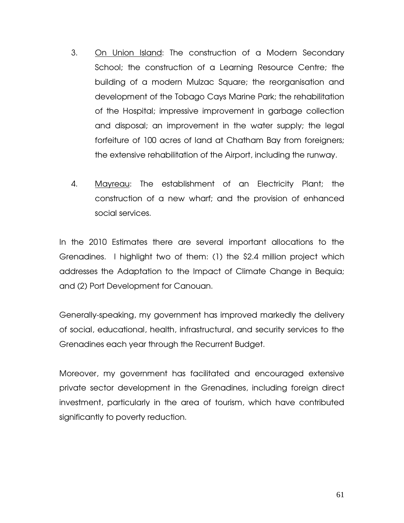- 3. On Union Island: The construction of a Modern Secondary School; the construction of a Learning Resource Centre; the building of a modern Mulzac Square; the reorganisation and development of the Tobago Cays Marine Park; the rehabilitation of the Hospital; impressive improvement in garbage collection and disposal; an improvement in the water supply; the legal forfeiture of 100 acres of land at Chatham Bay from foreigners; the extensive rehabilitation of the Airport, including the runway.
- 4. Mayreau: The establishment of an Electricity Plant; the construction of a new wharf; and the provision of enhanced social services.

In the 2010 Estimates there are several important allocations to the Grenadines. I highlight two of them: (1) the \$2.4 million project which addresses the Adaptation to the Impact of Climate Change in Bequia; and (2) Port Development for Canouan.

Generally-speaking, my government has improved markedly the delivery of social, educational, health, infrastructural, and security services to the Grenadines each year through the Recurrent Budget.

Moreover, my government has facilitated and encouraged extensive private sector development in the Grenadines, including foreign direct investment, particularly in the area of tourism, which have contributed significantly to poverty reduction.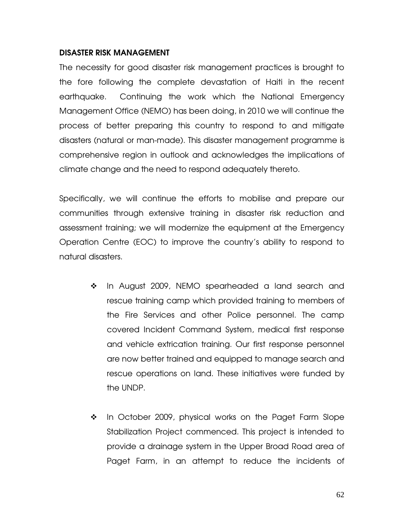# DISASTER RISK MANAGEMENT

The necessity for good disaster risk management practices is brought to the fore following the complete devastation of Haiti in the recent earthquake. Continuing the work which the National Emergency Management Office (NEMO) has been doing, in 2010 we will continue the process of better preparing this country to respond to and mitigate disasters (natural or man-made). This disaster management programme is comprehensive region in outlook and acknowledges the implications of climate change and the need to respond adequately thereto.

Specifically, we will continue the efforts to mobilise and prepare our communities through extensive training in disaster risk reduction and assessment training; we will modernize the equipment at the Emergency Operation Centre (EOC) to improve the country's ability to respond to natural disasters.

- In August 2009, NEMO spearheaded a land search and rescue training camp which provided training to members of the Fire Services and other Police personnel. The camp covered Incident Command System, medical first response and vehicle extrication training. Our first response personnel are now better trained and equipped to manage search and rescue operations on land. These initiatives were funded by the UNDP.
- \* In October 2009, physical works on the Paget Farm Slope Stabilization Project commenced. This project is intended to provide a drainage system in the Upper Broad Road area of Paget Farm, in an attempt to reduce the incidents of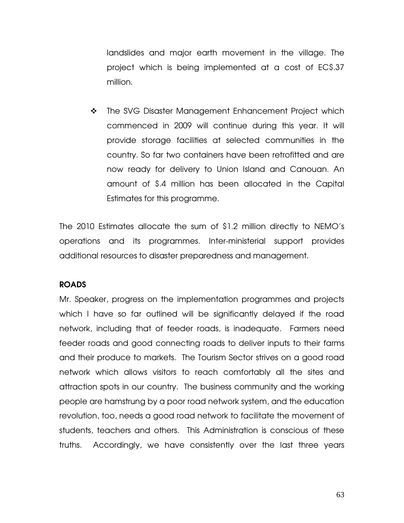landslides and major earth movement in the village. The project which is being implemented at a cost of EC\$.37 million.

\* The SVG Disaster Management Enhancement Project which commenced in 2009 will continue during this year. It will provide storage facilities at selected communities in the country. So far two containers have been retrofitted and are now ready for delivery to Union Island and Canouan. An amount of \$.4 million has been allocated in the Capital Estimates for this programme.

The 2010 Estimates allocate the sum of \$1.2 million directly to NEMO's operations and its programmes. Inter-ministerial support provides additional resources to disaster preparedness and management.

# ROADS

Mr. Speaker, progress on the implementation programmes and projects which I have so far outlined will be significantly delayed if the road network, including that of feeder roads, is inadequate. Farmers need feeder roads and good connecting roads to deliver inputs to their farms and their produce to markets. The Tourism Sector strives on a good road network which allows visitors to reach comfortably all the sites and attraction spots in our country. The business community and the working people are hamstrung by a poor road network system, and the education revolution, too, needs a good road network to facilitate the movement of students, teachers and others. This Administration is conscious of these truths. Accordingly, we have consistently over the last three years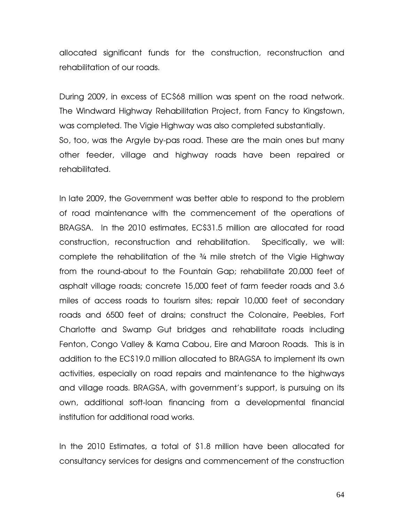allocated significant funds for the construction, reconstruction and rehabilitation of our roads.

During 2009, in excess of EC\$68 million was spent on the road network. The Windward Highway Rehabilitation Project, from Fancy to Kingstown, was completed. The Vigie Highway was also completed substantially. So, too, was the Argyle by-pas road. These are the main ones but many other feeder, village and highway roads have been repaired or rehabilitated.

In late 2009, the Government was better able to respond to the problem of road maintenance with the commencement of the operations of BRAGSA. In the 2010 estimates, EC\$31.5 million are allocated for road construction, reconstruction and rehabilitation. Specifically, we will: complete the rehabilitation of the ¾ mile stretch of the Vigie Highway from the round-about to the Fountain Gap; rehabilitate 20,000 feet of asphalt village roads; concrete 15,000 feet of farm feeder roads and 3.6 miles of access roads to tourism sites; repair 10,000 feet of secondary roads and 6500 feet of drains; construct the Colonaire, Peebles, Fort Charlotte and Swamp Gut bridges and rehabilitate roads including Fenton, Congo Valley & Kama Cabou, Eire and Maroon Roads. This is in addition to the EC\$19.0 million allocated to BRAGSA to implement its own activities, especially on road repairs and maintenance to the highways and village roads. BRAGSA, with government's support, is pursuing on its own, additional soft-loan financing from a developmental financial institution for additional road works.

In the 2010 Estimates, a total of \$1.8 million have been allocated for consultancy services for designs and commencement of the construction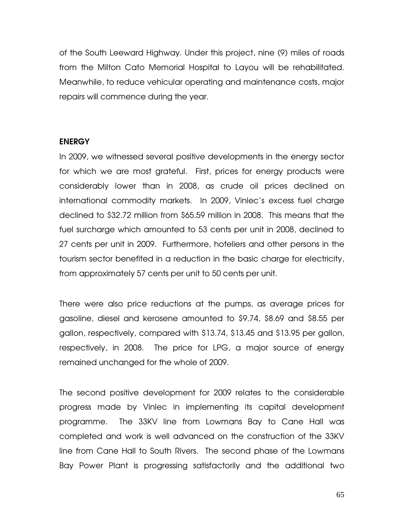of the South Leeward Highway. Under this project, nine (9) miles of roads from the Milton Cato Memorial Hospital to Layou will be rehabilitated. Meanwhile, to reduce vehicular operating and maintenance costs, major repairs will commence during the year.

#### ENERGY

In 2009, we witnessed several positive developments in the energy sector for which we are most grateful. First, prices for energy products were considerably lower than in 2008, as crude oil prices declined on international commodity markets. In 2009, Vinlec's excess fuel charge declined to \$32.72 million from \$65.59 million in 2008. This means that the fuel surcharge which amounted to 53 cents per unit in 2008, declined to 27 cents per unit in 2009. Furthermore, hoteliers and other persons in the tourism sector benefited in a reduction in the basic charge for electricity, from approximately 57 cents per unit to 50 cents per unit.

There were also price reductions at the pumps, as average prices for gasoline, diesel and kerosene amounted to \$9.74, \$8.69 and \$8.55 per gallon, respectively, compared with \$13.74, \$13.45 and \$13.95 per gallon, respectively, in 2008. The price for LPG, a major source of energy remained unchanged for the whole of 2009.

The second positive development for 2009 relates to the considerable progress made by Vinlec in implementing its capital development programme. The 33KV line from Lowmans Bay to Cane Hall was completed and work is well advanced on the construction of the 33KV line from Cane Hall to South Rivers. The second phase of the Lowmans Bay Power Plant is progressing satisfactorily and the additional two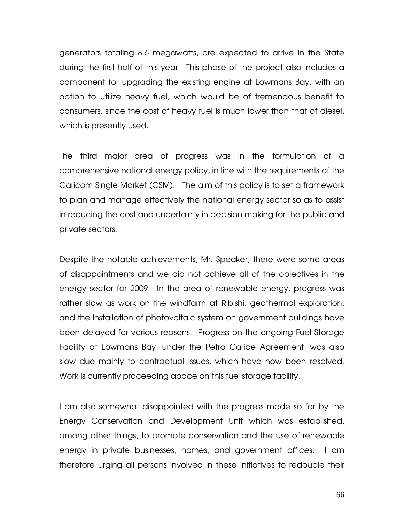generators totaling 8.6 megawatts, are expected to arrive in the State during the first half of this year. This phase of the project also includes a component for upgrading the existing engine at Lowmans Bay, with an option to utilize heavy fuel, which would be of tremendous benefit to consumers, since the cost of heavy fuel is much lower than that of diesel, which is presently used.

The third major area of progress was in the formulation of a comprehensive national energy policy, in line with the requirements of the Caricom Single Market (CSM). The aim of this policy is to set a framework to plan and manage effectively the national energy sector so as to assist in reducing the cost and uncertainty in decision making for the public and private sectors.

Despite the notable achievements, Mr. Speaker, there were some areas of disappointments and we did not achieve all of the objectives in the energy sector for 2009. In the area of renewable energy, progress was rather slow as work on the windfarm at Ribishi, geothermal exploration, and the installation of photovoltaic system on government buildings have been delayed for various reasons. Progress on the ongoing Fuel Storage Facility at Lowmans Bay, under the Petro Caribe Agreement, was also slow due mainly to contractual issues, which have now been resolved. Work is currently proceeding apace on this fuel storage facility.

I am also somewhat disappointed with the progress made so far by the Energy Conservation and Development Unit which was established, among other things, to promote conservation and the use of renewable energy in private businesses, homes, and government offices. I am therefore urging all persons involved in these initiatives to redouble their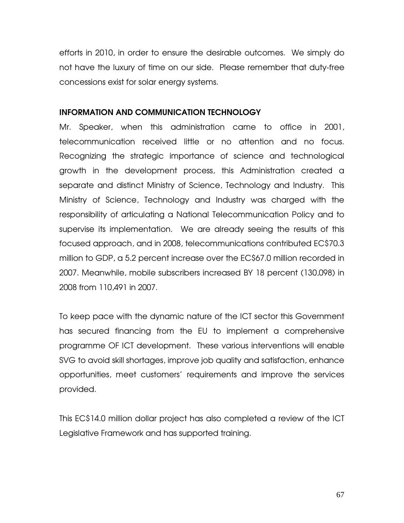efforts in 2010, in order to ensure the desirable outcomes. We simply do not have the luxury of time on our side. Please remember that duty-free concessions exist for solar energy systems.

## INFORMATION AND COMMUNICATION TECHNOLOGY

Mr. Speaker, when this administration came to office in 2001, telecommunication received little or no attention and no focus. Recognizing the strategic importance of science and technological growth in the development process, this Administration created a separate and distinct Ministry of Science, Technology and Industry. This Ministry of Science, Technology and Industry was charged with the responsibility of articulating a National Telecommunication Policy and to supervise its implementation. We are already seeing the results of this focused approach, and in 2008, telecommunications contributed EC\$70.3 million to GDP, a 5.2 percent increase over the EC\$67.0 million recorded in 2007. Meanwhile, mobile subscribers increased BY 18 percent (130,098) in 2008 from 110,491 in 2007.

To keep pace with the dynamic nature of the ICT sector this Government has secured financing from the EU to implement a comprehensive programme OF ICT development. These various interventions will enable SVG to avoid skill shortages, improve job quality and satisfaction, enhance opportunities, meet customers' requirements and improve the services provided.

This EC\$14.0 million dollar project has also completed a review of the ICT Legislative Framework and has supported training.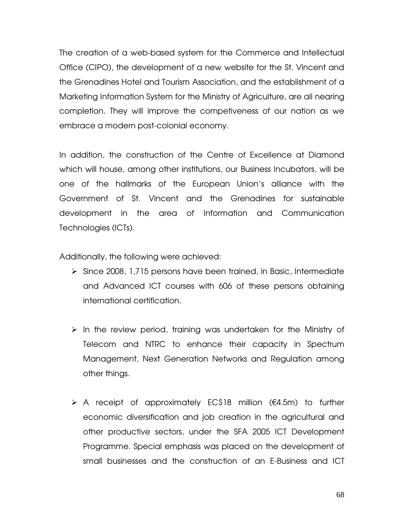The creation of a web-based system for the Commerce and Intellectual Office (CIPO), the development of a new website for the St. Vincent and the Grenadines Hotel and Tourism Association, and the establishment of a Marketing Information System for the Ministry of Agriculture, are all nearing completion. They will improve the competiveness of our nation as we embrace a modern post-colonial economy.

In addition, the construction of the Centre of Excellence at Diamond which will house, among other institutions, our Business Incubators, will be one of the hallmarks of the European Union's alliance with the Government of St. Vincent and the Grenadines for sustainable development in the area of Information and Communication Technologies (ICTs).

Additionally, the following were achieved:

- $\triangleright$  Since 2008, 1,715 persons have been trained, in Basic, Intermediate and Advanced ICT courses with 606 of these persons obtaining international certification.
- $\triangleright$  In the review period, training was undertaken for the Ministry of Telecom and NTRC to enhance their capacity in Spectrum Management, Next Generation Networks and Regulation among other things.
- A receipt of approximately EC\$18 million (€4.5m) to further economic diversification and job creation in the agricultural and other productive sectors, under the SFA 2005 ICT Development Programme. Special emphasis was placed on the development of small businesses and the construction of an E-Business and ICT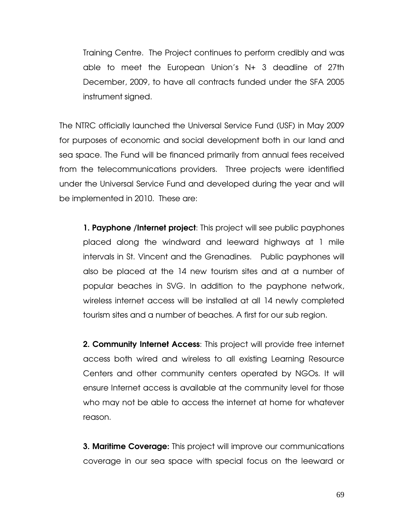Training Centre. The Project continues to perform credibly and was able to meet the European Union's N+ 3 deadline of 27th December, 2009, to have all contracts funded under the SFA 2005 instrument signed.

The NTRC officially launched the Universal Service Fund (USF) in May 2009 for purposes of economic and social development both in our land and sea space. The Fund will be financed primarily from annual fees received from the telecommunications providers. Three projects were identified under the Universal Service Fund and developed during the year and will be implemented in 2010. These are:

1. Payphone /Internet project: This project will see public payphones placed along the windward and leeward highways at 1 mile intervals in St. Vincent and the Grenadines. Public payphones will also be placed at the 14 new tourism sites and at a number of popular beaches in SVG. In addition to the payphone network, wireless internet access will be installed at all 14 newly completed tourism sites and a number of beaches. A first for our sub region.

2. Community Internet Access: This project will provide free internet access both wired and wireless to all existing Learning Resource Centers and other community centers operated by NGOs. It will ensure Internet access is available at the community level for those who may not be able to access the internet at home for whatever reason.

**3. Maritime Coverage:** This project will improve our communications coverage in our sea space with special focus on the leeward or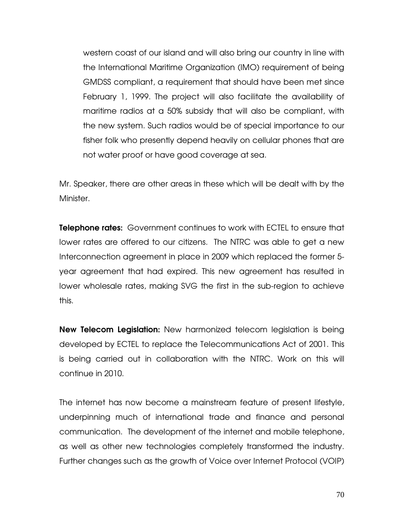western coast of our island and will also bring our country in line with the International Maritime Organization (IMO) requirement of being GMDSS compliant, a requirement that should have been met since February 1, 1999. The project will also facilitate the availability of maritime radios at a 50% subsidy that will also be compliant, with the new system. Such radios would be of special importance to our fisher folk who presently depend heavily on cellular phones that are not water proof or have good coverage at sea.

Mr. Speaker, there are other areas in these which will be dealt with by the Minister.

**Telephone rates:** Government continues to work with ECTEL to ensure that lower rates are offered to our citizens. The NTRC was able to get a new Interconnection agreement in place in 2009 which replaced the former 5 year agreement that had expired. This new agreement has resulted in lower wholesale rates, making SVG the first in the sub-region to achieve this.

New Telecom Legislation: New harmonized telecom legislation is being developed by ECTEL to replace the Telecommunications Act of 2001. This is being carried out in collaboration with the NTRC. Work on this will continue in 2010.

The internet has now become a mainstream feature of present lifestyle, underpinning much of international trade and finance and personal communication. The development of the internet and mobile telephone, as well as other new technologies completely transformed the industry. Further changes such as the growth of Voice over Internet Protocol (VOIP)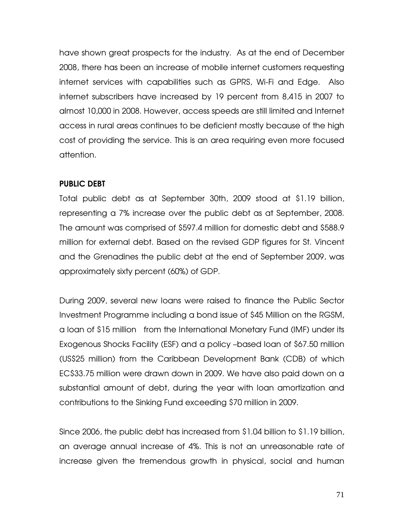have shown great prospects for the industry. As at the end of December 2008, there has been an increase of mobile internet customers requesting internet services with capabilities such as GPRS, Wi-Fi and Edge. Also internet subscribers have increased by 19 percent from 8,415 in 2007 to almost 10,000 in 2008. However, access speeds are still limited and Internet access in rural areas continues to be deficient mostly because of the high cost of providing the service. This is an area requiring even more focused attention.

# PUBLIC DEBT

Total public debt as at September 30th, 2009 stood at \$1.19 billion, representing a 7% increase over the public debt as at September, 2008. The amount was comprised of \$597.4 million for domestic debt and \$588.9 million for external debt. Based on the revised GDP figures for St. Vincent and the Grenadines the public debt at the end of September 2009, was approximately sixty percent (60%) of GDP.

During 2009, several new loans were raised to finance the Public Sector Investment Programme including a bond issue of \$45 Million on the RGSM, a loan of \$15 million from the International Monetary Fund (IMF) under its Exogenous Shocks Facility (ESF) and a policy –based loan of \$67.50 million (US\$25 million) from the Caribbean Development Bank (CDB) of which EC\$33.75 million were drawn down in 2009. We have also paid down on a substantial amount of debt, during the year with loan amortization and contributions to the Sinking Fund exceeding \$70 million in 2009.

Since 2006, the public debt has increased from \$1.04 billion to \$1.19 billion, an average annual increase of 4%. This is not an unreasonable rate of increase given the tremendous growth in physical, social and human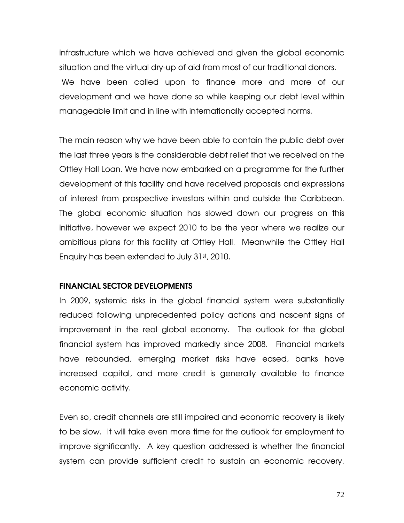infrastructure which we have achieved and given the global economic situation and the virtual dry-up of aid from most of our traditional donors. We have been called upon to finance more and more of our development and we have done so while keeping our debt level within manageable limit and in line with internationally accepted norms.

The main reason why we have been able to contain the public debt over the last three years is the considerable debt relief that we received on the Ottley Hall Loan. We have now embarked on a programme for the further development of this facility and have received proposals and expressions of interest from prospective investors within and outside the Caribbean. The global economic situation has slowed down our progress on this initiative, however we expect 2010 to be the year where we realize our ambitious plans for this facility at Ottley Hall. Meanwhile the Ottley Hall Enquiry has been extended to July 31st, 2010.

#### FINANCIAL SECTOR DEVELOPMENTS

In 2009, systemic risks in the global financial system were substantially reduced following unprecedented policy actions and nascent signs of improvement in the real global economy. The outlook for the global financial system has improved markedly since 2008. Financial markets have rebounded, emerging market risks have eased, banks have increased capital, and more credit is generally available to finance economic activity.

Even so, credit channels are still impaired and economic recovery is likely to be slow. It will take even more time for the outlook for employment to improve significantly. A key question addressed is whether the financial system can provide sufficient credit to sustain an economic recovery.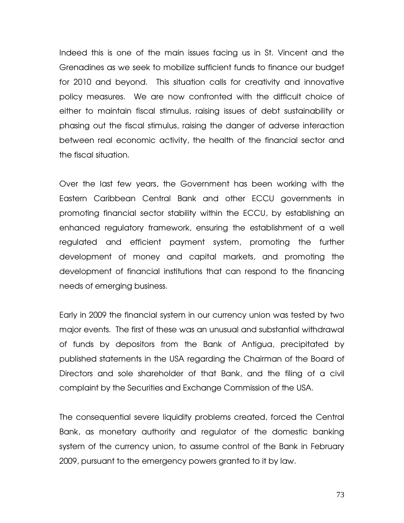Indeed this is one of the main issues facing us in St. Vincent and the Grenadines as we seek to mobilize sufficient funds to finance our budget for 2010 and beyond. This situation calls for creativity and innovative policy measures. We are now confronted with the difficult choice of either to maintain fiscal stimulus, raising issues of debt sustainability or phasing out the fiscal stimulus, raising the danger of adverse interaction between real economic activity, the health of the financial sector and the fiscal situation.

Over the last few years, the Government has been working with the Eastern Caribbean Central Bank and other ECCU governments in promoting financial sector stability within the ECCU, by establishing an enhanced regulatory framework, ensuring the establishment of a well regulated and efficient payment system, promoting the further development of money and capital markets, and promoting the development of financial institutions that can respond to the financing needs of emerging business.

Early in 2009 the financial system in our currency union was tested by two major events. The first of these was an unusual and substantial withdrawal of funds by depositors from the Bank of Antigua, precipitated by published statements in the USA regarding the Chairman of the Board of Directors and sole shareholder of that Bank, and the filing of a civil complaint by the Securities and Exchange Commission of the USA.

The consequential severe liquidity problems created, forced the Central Bank, as monetary authority and regulator of the domestic banking system of the currency union, to assume control of the Bank in February 2009, pursuant to the emergency powers granted to it by law.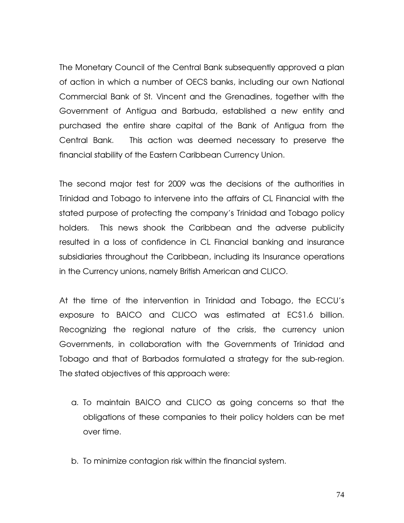The Monetary Council of the Central Bank subsequently approved a plan of action in which a number of OECS banks, including our own National Commercial Bank of St. Vincent and the Grenadines, together with the Government of Antigua and Barbuda, established a new entity and purchased the entire share capital of the Bank of Antigua from the Central Bank. This action was deemed necessary to preserve the financial stability of the Eastern Caribbean Currency Union.

The second major test for 2009 was the decisions of the authorities in Trinidad and Tobago to intervene into the affairs of CL Financial with the stated purpose of protecting the company's Trinidad and Tobago policy holders. This news shook the Caribbean and the adverse publicity resulted in a loss of confidence in CL Financial banking and insurance subsidiaries throughout the Caribbean, including its Insurance operations in the Currency unions, namely British American and CLICO.

At the time of the intervention in Trinidad and Tobago, the ECCU's exposure to BAICO and CLICO was estimated at EC\$1.6 billion. Recognizing the regional nature of the crisis, the currency union Governments, in collaboration with the Governments of Trinidad and Tobago and that of Barbados formulated a strategy for the sub-region. The stated objectives of this approach were:

- a. To maintain BAICO and CLICO as going concerns so that the obligations of these companies to their policy holders can be met over time.
- b. To minimize contagion risk within the financial system.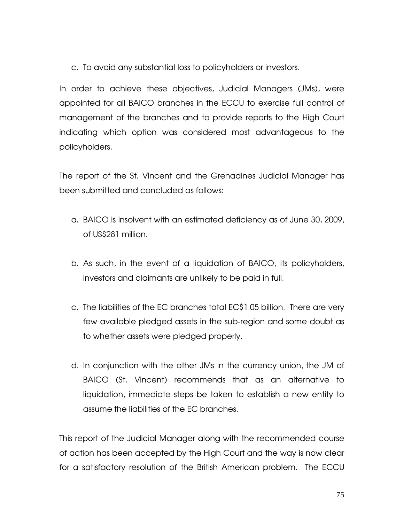c. To avoid any substantial loss to policyholders or investors.

In order to achieve these objectives, Judicial Managers (JMs), were appointed for all BAICO branches in the ECCU to exercise full control of management of the branches and to provide reports to the High Court indicating which option was considered most advantageous to the policyholders.

The report of the St. Vincent and the Grenadines Judicial Manager has been submitted and concluded as follows:

- a. BAICO is insolvent with an estimated deficiency as of June 30, 2009, of US\$281 million.
- b. As such, in the event of a liquidation of BAICO, its policyholders, investors and claimants are unlikely to be paid in full.
- c. The liabilities of the EC branches total EC\$1.05 billion. There are very few available pledged assets in the sub-region and some doubt as to whether assets were pledged properly.
- d. In conjunction with the other JMs in the currency union, the JM of BAICO (St. Vincent) recommends that as an alternative to liquidation, immediate steps be taken to establish a new entity to assume the liabilities of the EC branches.

This report of the Judicial Manager along with the recommended course of action has been accepted by the High Court and the way is now clear for a satisfactory resolution of the British American problem. The ECCU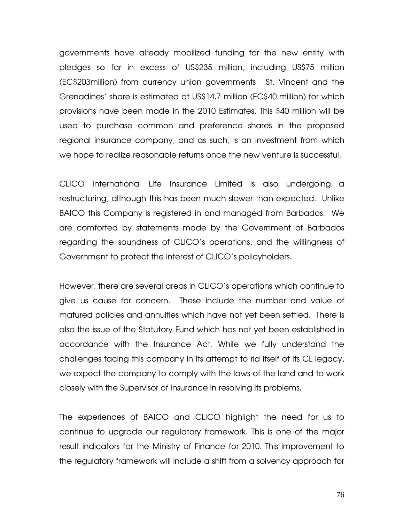governments have already mobilized funding for the new entity with pledges so far in excess of US\$235 million, including US\$75 million (EC\$203million) from currency union governments. St. Vincent and the Grenadines' share is estimated at US\$14.7 million (EC\$40 million) for which provisions have been made in the 2010 Estimates. This \$40 million will be used to purchase common and preference shares in the proposed regional insurance company, and as such, is an investment from which we hope to realize reasonable returns once the new venture is successful.

CLICO International Life Insurance Limited is also undergoing a restructuring, although this has been much slower than expected. Unlike BAICO this Company is registered in and managed from Barbados. We are comforted by statements made by the Government of Barbados regarding the soundness of CLICO's operations, and the willingness of Government to protect the interest of CLICO's policyholders.

However, there are several areas in CLICO's operations which continue to give us cause for concern. These include the number and value of matured policies and annuities which have not yet been settled. There is also the issue of the Statutory Fund which has not yet been established in accordance with the Insurance Act. While we fully understand the challenges facing this company in its attempt to rid itself of its CL legacy, we expect the company to comply with the laws of the land and to work closely with the Supervisor of Insurance in resolving its problems.

The experiences of BAICO and CLICO highlight the need for us to continue to upgrade our regulatory framework. This is one of the major result indicators for the Ministry of Finance for 2010. This improvement to the regulatory framework will include a shift from a solvency approach for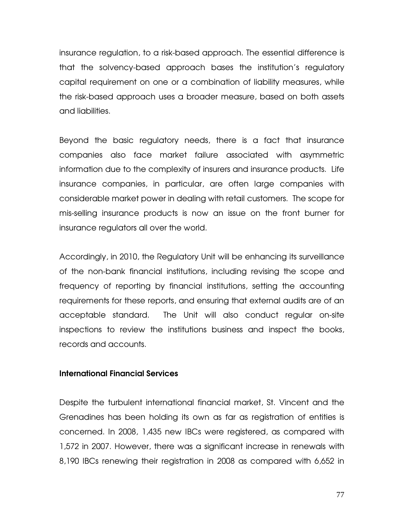insurance regulation, to a risk-based approach. The essential difference is that the solvency-based approach bases the institution's regulatory capital requirement on one or a combination of liability measures, while the risk-based approach uses a broader measure, based on both assets and liabilities.

Beyond the basic regulatory needs, there is a fact that insurance companies also face market failure associated with asymmetric information due to the complexity of insurers and insurance products. Life insurance companies, in particular, are often large companies with considerable market power in dealing with retail customers. The scope for mis-selling insurance products is now an issue on the front burner for insurance regulators all over the world.

Accordingly, in 2010, the Regulatory Unit will be enhancing its surveillance of the non-bank financial institutions, including revising the scope and frequency of reporting by financial institutions, setting the accounting requirements for these reports, and ensuring that external audits are of an acceptable standard. The Unit will also conduct regular on-site inspections to review the institutions business and inspect the books, records and accounts.

#### International Financial Services

Despite the turbulent international financial market, St. Vincent and the Grenadines has been holding its own as far as registration of entities is concerned. In 2008, 1,435 new IBCs were registered, as compared with 1,572 in 2007. However, there was a significant increase in renewals with 8,190 IBCs renewing their registration in 2008 as compared with 6,652 in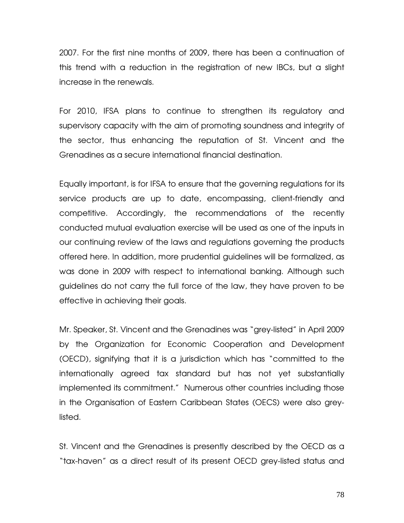2007. For the first nine months of 2009, there has been a continuation of this trend with a reduction in the registration of new IBCs, but a slight increase in the renewals.

For 2010, IFSA plans to continue to strengthen its regulatory and supervisory capacity with the aim of promoting soundness and integrity of the sector, thus enhancing the reputation of St. Vincent and the Grenadines as a secure international financial destination.

Equally important, is for IFSA to ensure that the governing regulations for its service products are up to date, encompassing, client-friendly and competitive. Accordingly, the recommendations of the recently conducted mutual evaluation exercise will be used as one of the inputs in our continuing review of the laws and regulations governing the products offered here. In addition, more prudential guidelines will be formalized, as was done in 2009 with respect to international banking. Although such guidelines do not carry the full force of the law, they have proven to be effective in achieving their goals.

Mr. Speaker, St. Vincent and the Grenadines was "grey-listed" in April 2009 by the Organization for Economic Cooperation and Development (OECD), signifying that it is a jurisdiction which has "committed to the internationally agreed tax standard but has not yet substantially implemented its commitment." Numerous other countries including those in the Organisation of Eastern Caribbean States (OECS) were also greylisted.

St. Vincent and the Grenadines is presently described by the OECD as a "tax-haven" as a direct result of its present OECD grey-listed status and

78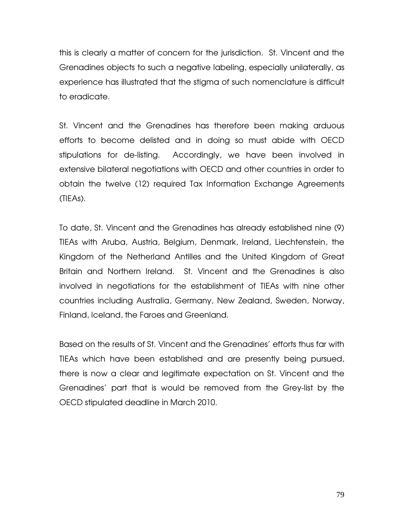this is clearly a matter of concern for the jurisdiction. St. Vincent and the Grenadines objects to such a negative labeling, especially unilaterally, as experience has illustrated that the stigma of such nomenclature is difficult to eradicate.

St. Vincent and the Grenadines has therefore been making arduous efforts to become delisted and in doing so must abide with OECD stipulations for de-listing. Accordingly, we have been involved in extensive bilateral negotiations with OECD and other countries in order to obtain the twelve (12) required Tax Information Exchange Agreements (TIEAs).

To date, St. Vincent and the Grenadines has already established nine (9) TIEAs with Aruba, Austria, Belgium, Denmark, Ireland, Liechtenstein, the Kingdom of the Netherland Antilles and the United Kingdom of Great Britain and Northern Ireland. St. Vincent and the Grenadines is also involved in negotiations for the establishment of TIEAs with nine other countries including Australia, Germany, New Zealand, Sweden, Norway, Finland, Iceland, the Faroes and Greenland.

Based on the results of St. Vincent and the Grenadines' efforts thus far with TIEAs which have been established and are presently being pursued, there is now a clear and legitimate expectation on St. Vincent and the Grenadines' part that is would be removed from the Grey-list by the OECD stipulated deadline in March 2010.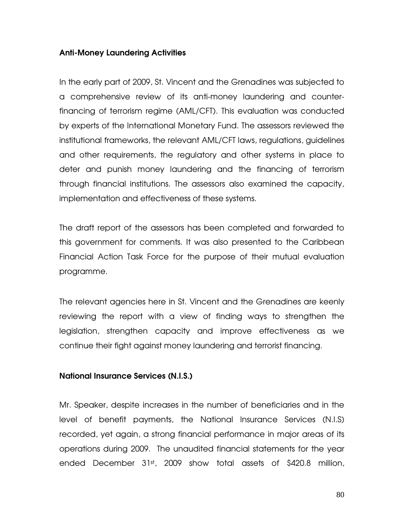# Anti-Money Laundering Activities

In the early part of 2009, St. Vincent and the Grenadines was subjected to a comprehensive review of its anti-money laundering and counterfinancing of terrorism regime (AML/CFT). This evaluation was conducted by experts of the International Monetary Fund. The assessors reviewed the institutional frameworks, the relevant AML/CFT laws, regulations, guidelines and other requirements, the regulatory and other systems in place to deter and punish money laundering and the financing of terrorism through financial institutions. The assessors also examined the capacity, implementation and effectiveness of these systems.

The draft report of the assessors has been completed and forwarded to this government for comments. It was also presented to the Caribbean Financial Action Task Force for the purpose of their mutual evaluation programme.

The relevant agencies here in St. Vincent and the Grenadines are keenly reviewing the report with a view of finding ways to strengthen the legislation, strengthen capacity and improve effectiveness as we continue their fight against money laundering and terrorist financing.

## National Insurance Services (N.I.S.)

Mr. Speaker, despite increases in the number of beneficiaries and in the level of benefit payments, the National Insurance Services (N.I.S) recorded, yet again, a strong financial performance in major areas of its operations during 2009. The unaudited financial statements for the year ended December 31st, 2009 show total assets of \$420.8 million,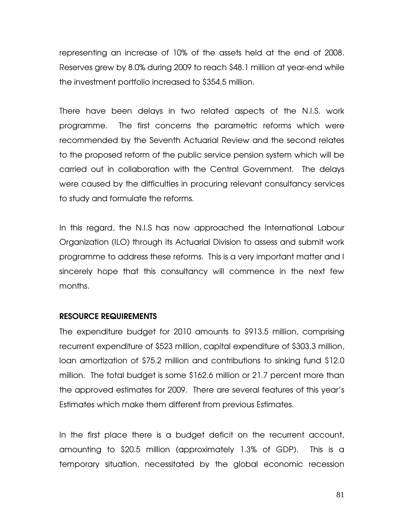representing an increase of 10% of the assets held at the end of 2008. Reserves grew by 8.0% during 2009 to reach \$48.1 million at year-end while the investment portfolio increased to \$354.5 million.

There have been delays in two related aspects of the N.I.S. work programme. The first concerns the parametric reforms which were recommended by the Seventh Actuarial Review and the second relates to the proposed reform of the public service pension system which will be carried out in collaboration with the Central Government. The delays were caused by the difficulties in procuring relevant consultancy services to study and formulate the reforms.

In this regard, the N.I.S has now approached the International Labour Organization (ILO) through its Actuarial Division to assess and submit work programme to address these reforms. This is a very important matter and I sincerely hope that this consultancy will commence in the next few months.

### RESOURCE REQUIREMENTS

The expenditure budget for 2010 amounts to \$913.5 million, comprising recurrent expenditure of \$523 million, capital expenditure of \$303.3 million, loan amortization of \$75.2 million and contributions to sinking fund \$12.0 million. The total budget is some \$162.6 million or 21.7 percent more than the approved estimates for 2009. There are several features of this year's Estimates which make them different from previous Estimates.

In the first place there is a budget deficit on the recurrent account, amounting to \$20.5 million (approximately 1.3% of GDP). This is a temporary situation, necessitated by the global economic recession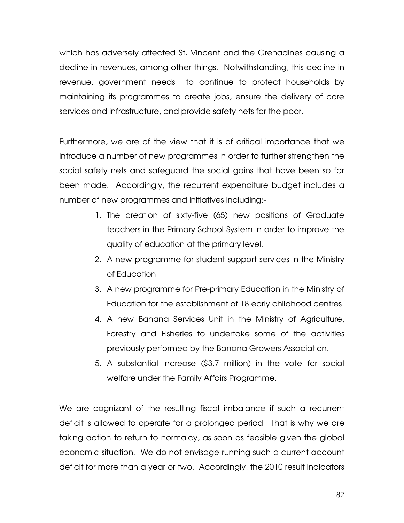which has adversely affected St. Vincent and the Grenadines causing a decline in revenues, among other things. Notwithstanding, this decline in revenue, government needs to continue to protect households by maintaining its programmes to create jobs, ensure the delivery of core services and infrastructure, and provide safety nets for the poor.

Furthermore, we are of the view that it is of critical importance that we introduce a number of new programmes in order to further strengthen the social safety nets and safeguard the social gains that have been so far been made. Accordingly, the recurrent expenditure budget includes a number of new programmes and initiatives including:-

- 1. The creation of sixty-five (65) new positions of Graduate teachers in the Primary School System in order to improve the quality of education at the primary level.
- 2. A new programme for student support services in the Ministry of Education.
- 3. A new programme for Pre-primary Education in the Ministry of Education for the establishment of 18 early childhood centres.
- 4. A new Banana Services Unit in the Ministry of Agriculture, Forestry and Fisheries to undertake some of the activities previously performed by the Banana Growers Association.
- 5. A substantial increase (\$3.7 million) in the vote for social welfare under the Family Affairs Programme.

We are cognizant of the resulting fiscal imbalance if such a recurrent deficit is allowed to operate for a prolonged period. That is why we are taking action to return to normalcy, as soon as feasible given the global economic situation. We do not envisage running such a current account deficit for more than a year or two. Accordingly, the 2010 result indicators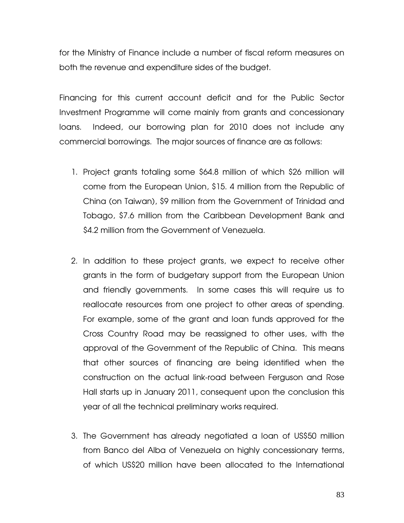for the Ministry of Finance include a number of fiscal reform measures on both the revenue and expenditure sides of the budget.

Financing for this current account deficit and for the Public Sector Investment Programme will come mainly from grants and concessionary loans. Indeed, our borrowing plan for 2010 does not include any commercial borrowings. The major sources of finance are as follows:

- 1. Project grants totaling some \$64.8 million of which \$26 million will come from the European Union, \$15. 4 million from the Republic of China (on Taiwan), \$9 million from the Government of Trinidad and Tobago, \$7.6 million from the Caribbean Development Bank and \$4.2 million from the Government of Venezuela.
- 2. In addition to these project grants, we expect to receive other grants in the form of budgetary support from the European Union and friendly governments. In some cases this will require us to reallocate resources from one project to other areas of spending. For example, some of the grant and loan funds approved for the Cross Country Road may be reassigned to other uses, with the approval of the Government of the Republic of China. This means that other sources of financing are being identified when the construction on the actual link-road between Ferguson and Rose Hall starts up in January 2011, consequent upon the conclusion this year of all the technical preliminary works required.
- 3. The Government has already negotiated a loan of US\$50 million from Banco del Alba of Venezuela on highly concessionary terms, of which US\$20 million have been allocated to the International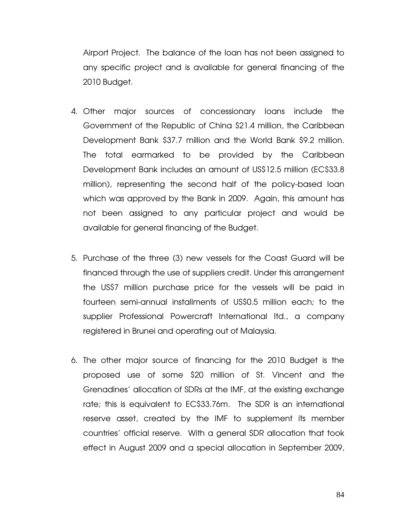Airport Project. The balance of the loan has not been assigned to any specific project and is available for general financing of the 2010 Budget.

- 4. Other major sources of concessionary loans include the Government of the Republic of China \$21.4 million, the Caribbean Development Bank \$37.7 million and the World Bank \$9.2 million. The total earmarked to be provided by the Caribbean Development Bank includes an amount of US\$12.5 million (EC\$33.8 million), representing the second half of the policy-based loan which was approved by the Bank in 2009. Again, this amount has not been assigned to any particular project and would be available for general financing of the Budget.
- 5. Purchase of the three (3) new vessels for the Coast Guard will be financed through the use of suppliers credit. Under this arrangement the US\$7 million purchase price for the vessels will be paid in fourteen semi-annual installments of US\$0.5 million each; to the supplier Professional Powercraft International ltd., a company registered in Brunei and operating out of Malaysia.
- 6. The other major source of financing for the 2010 Budget is the proposed use of some \$20 million of St. Vincent and the Grenadines' allocation of SDRs at the IMF, at the existing exchange rate; this is equivalent to EC\$33.76m. The SDR is an international reserve asset, created by the IMF to supplement its member countries' official reserve. With a general SDR allocation that took effect in August 2009 and a special allocation in September 2009,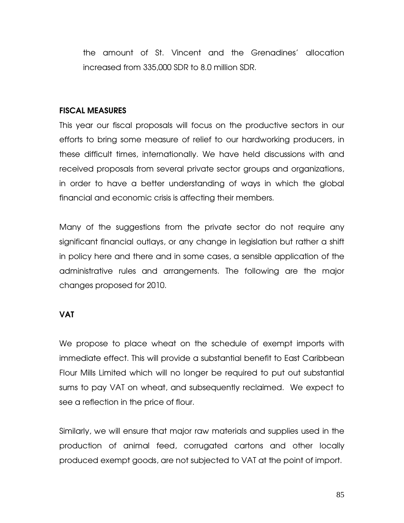the amount of St. Vincent and the Grenadines' allocation increased from 335,000 SDR to 8.0 million SDR.

## FISCAL MEASURES

This year our fiscal proposals will focus on the productive sectors in our efforts to bring some measure of relief to our hardworking producers, in these difficult times, internationally. We have held discussions with and received proposals from several private sector groups and organizations, in order to have a better understanding of ways in which the global financial and economic crisis is affecting their members.

Many of the suggestions from the private sector do not require any significant financial outlays, or any change in legislation but rather a shift in policy here and there and in some cases, a sensible application of the administrative rules and arrangements. The following are the major changes proposed for 2010.

## VAT

We propose to place wheat on the schedule of exempt imports with immediate effect. This will provide a substantial benefit to East Caribbean Flour Mills Limited which will no longer be required to put out substantial sums to pay VAT on wheat, and subsequently reclaimed. We expect to see a reflection in the price of flour.

Similarly, we will ensure that major raw materials and supplies used in the production of animal feed, corrugated cartons and other locally produced exempt goods, are not subjected to VAT at the point of import.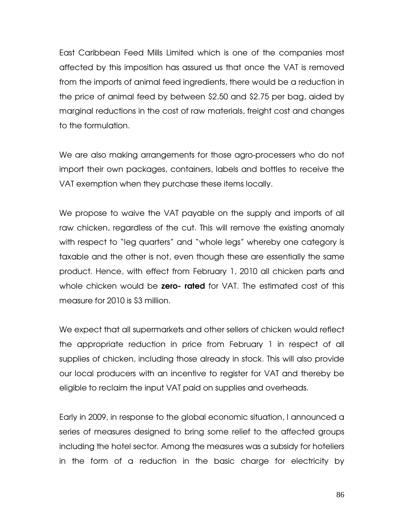East Caribbean Feed Mills Limited which is one of the companies most affected by this imposition has assured us that once the VAT is removed from the imports of animal feed ingredients, there would be a reduction in the price of animal feed by between \$2.50 and \$2.75 per bag, aided by marginal reductions in the cost of raw materials, freight cost and changes to the formulation.

We are also making arrangements for those agro-processers who do not import their own packages, containers, labels and bottles to receive the VAT exemption when they purchase these items locally.

We propose to waive the VAT payable on the supply and imports of all raw chicken, regardless of the cut. This will remove the existing anomaly with respect to "leg quarters" and "whole legs" whereby one category is taxable and the other is not, even though these are essentially the same product. Hence, with effect from February 1, 2010 all chicken parts and whole chicken would be zero- rated for VAT. The estimated cost of this measure for 2010 is \$3 million.

We expect that all supermarkets and other sellers of chicken would reflect the appropriate reduction in price from February 1 in respect of all supplies of chicken, including those already in stock. This will also provide our local producers with an incentive to register for VAT and thereby be eligible to reclaim the input VAT paid on supplies and overheads.

Early in 2009, in response to the global economic situation, I announced a series of measures designed to bring some relief to the affected groups including the hotel sector. Among the measures was a subsidy for hoteliers in the form of a reduction in the basic charge for electricity by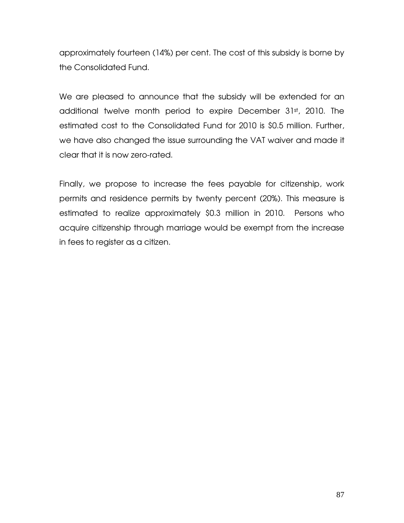approximately fourteen (14%) per cent. The cost of this subsidy is borne by the Consolidated Fund.

We are pleased to announce that the subsidy will be extended for an additional twelve month period to expire December 31st, 2010. The estimated cost to the Consolidated Fund for 2010 is \$0.5 million. Further, we have also changed the issue surrounding the VAT waiver and made it clear that it is now zero-rated.

Finally, we propose to increase the fees payable for citizenship, work permits and residence permits by twenty percent (20%). This measure is estimated to realize approximately \$0.3 million in 2010. Persons who acquire citizenship through marriage would be exempt from the increase in fees to register as a citizen.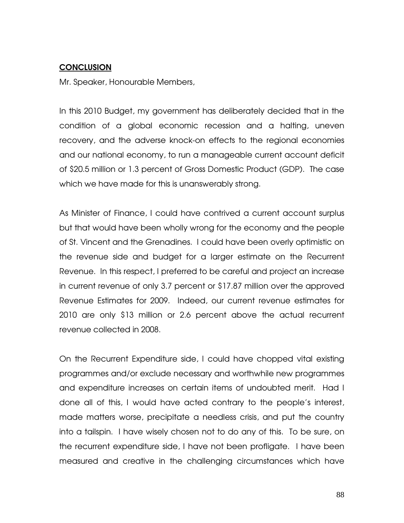# **CONCLUSION**

Mr. Speaker, Honourable Members,

In this 2010 Budget, my government has deliberately decided that in the condition of a global economic recession and a halting, uneven recovery, and the adverse knock-on effects to the regional economies and our national economy, to run a manageable current account deficit of \$20.5 million or 1.3 percent of Gross Domestic Product (GDP). The case which we have made for this is unanswerably strong.

As Minister of Finance, I could have contrived a current account surplus but that would have been wholly wrong for the economy and the people of St. Vincent and the Grenadines. I could have been overly optimistic on the revenue side and budget for a larger estimate on the Recurrent Revenue. In this respect, I preferred to be careful and project an increase in current revenue of only 3.7 percent or \$17.87 million over the approved Revenue Estimates for 2009. Indeed, our current revenue estimates for 2010 are only \$13 million or 2.6 percent above the actual recurrent revenue collected in 2008.

On the Recurrent Expenditure side, I could have chopped vital existing programmes and/or exclude necessary and worthwhile new programmes and expenditure increases on certain items of undoubted merit. Had I done all of this, I would have acted contrary to the people's interest, made matters worse, precipitate a needless crisis, and put the country into a tailspin. I have wisely chosen not to do any of this. To be sure, on the recurrent expenditure side, I have not been profligate. I have been measured and creative in the challenging circumstances which have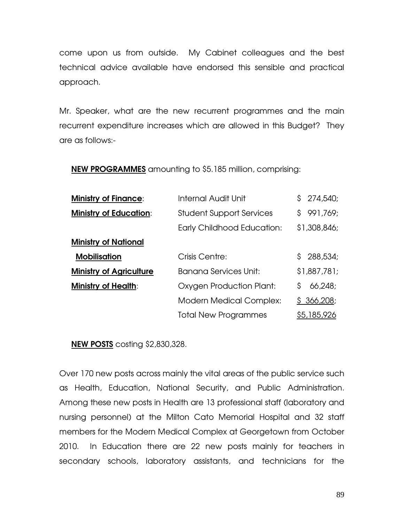come upon us from outside. My Cabinet colleagues and the best technical advice available have endorsed this sensible and practical approach.

Mr. Speaker, what are the new recurrent programmes and the main recurrent expenditure increases which are allowed in this Budget? They are as follows:-

NEW PROGRAMMES amounting to \$5.185 million, comprising:

| <b>Ministry of Finance:</b>    | <b>Internal Audit Unit</b>        | \$274,540;    |
|--------------------------------|-----------------------------------|---------------|
| <b>Ministry of Education:</b>  | <b>Student Support Services</b>   | \$991,769;    |
|                                | <b>Early Childhood Education:</b> | \$1,308,846;  |
| <b>Ministry of National</b>    |                                   |               |
| <b>Mobilisation</b>            | Crisis Centre:                    | \$288,534;    |
| <b>Ministry of Agriculture</b> | <b>Banana Services Unit:</b>      | \$1,887,781;  |
| <b>Ministry of Health:</b>     | Oxygen Production Plant:          | 66,248;<br>S. |
|                                | <b>Modern Medical Complex:</b>    | \$366,208;    |
|                                | <b>Total New Programmes</b>       | \$5,185,926   |

NEW POSTS costing \$2,830,328.

Over 170 new posts across mainly the vital areas of the public service such as Health, Education, National Security, and Public Administration. Among these new posts in Health are 13 professional staff (laboratory and nursing personnel) at the Milton Cato Memorial Hospital and 32 staff members for the Modern Medical Complex at Georgetown from October 2010. In Education there are 22 new posts mainly for teachers in secondary schools, laboratory assistants, and technicians for the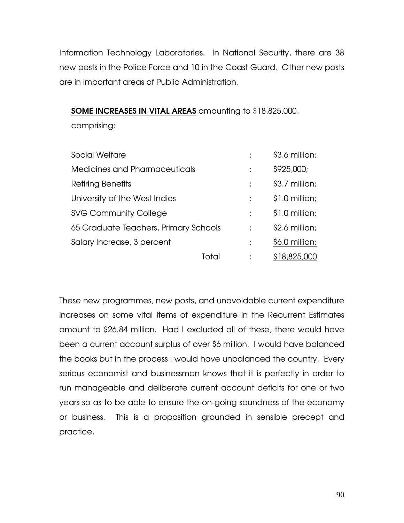Information Technology Laboratories. In National Security, there are 38 new posts in the Police Force and 10 in the Coast Guard. Other new posts are in important areas of Public Administration.

SOME INCREASES IN VITAL AREAS amounting to \$18,825,000,

comprising:

| Social Welfare                        |   | \$3.6 million;  |
|---------------------------------------|---|-----------------|
| Medicines and Pharmaceuticals         | ٠ | \$925,000;      |
| Retiring Benefits                     |   | \$3.7 million;  |
| University of the West Indies         | t | $$1.0$ million; |
| <b>SVG Community College</b>          | t | $$1.0$ million; |
| 65 Graduate Teachers, Primary Schools |   | \$2.6 million;  |
| Salary Increase, 3 percent            |   | \$6.0 million;  |
|                                       |   | \$18,825.0      |

These new programmes, new posts, and unavoidable current expenditure increases on some vital items of expenditure in the Recurrent Estimates amount to \$26.84 million. Had I excluded all of these, there would have been a current account surplus of over \$6 million. I would have balanced the books but in the process I would have unbalanced the country. Every serious economist and businessman knows that it is perfectly in order to run manageable and deliberate current account deficits for one or two years so as to be able to ensure the on-going soundness of the economy or business. This is a proposition grounded in sensible precept and practice.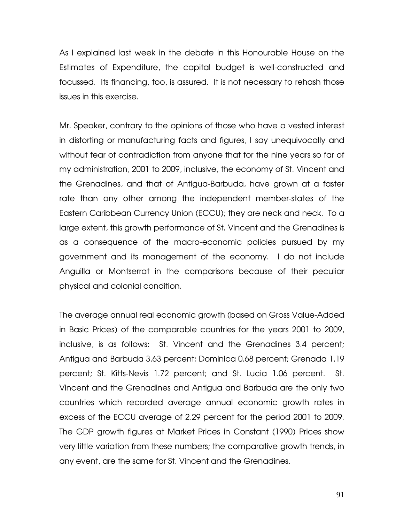As I explained last week in the debate in this Honourable House on the Estimates of Expenditure, the capital budget is well-constructed and focussed. Its financing, too, is assured. It is not necessary to rehash those issues in this exercise.

Mr. Speaker, contrary to the opinions of those who have a vested interest in distorting or manufacturing facts and figures, I say unequivocally and without fear of contradiction from anyone that for the nine years so far of my administration, 2001 to 2009, inclusive, the economy of St. Vincent and the Grenadines, and that of Antigua-Barbuda, have grown at a faster rate than any other among the independent member-states of the Eastern Caribbean Currency Union (ECCU); they are neck and neck. To a large extent, this growth performance of St. Vincent and the Grenadines is as a consequence of the macro-economic policies pursued by my government and its management of the economy. I do not include Anguilla or Montserrat in the comparisons because of their peculiar physical and colonial condition.

The average annual real economic growth (based on Gross Value-Added in Basic Prices) of the comparable countries for the years 2001 to 2009, inclusive, is as follows: St. Vincent and the Grenadines 3.4 percent; Antigua and Barbuda 3.63 percent; Dominica 0.68 percent; Grenada 1.19 percent; St. Kitts-Nevis 1.72 percent; and St. Lucia 1.06 percent. St. Vincent and the Grenadines and Antigua and Barbuda are the only two countries which recorded average annual economic growth rates in excess of the ECCU average of 2.29 percent for the period 2001 to 2009. The GDP growth figures at Market Prices in Constant (1990) Prices show very little variation from these numbers; the comparative growth trends, in any event, are the same for St. Vincent and the Grenadines.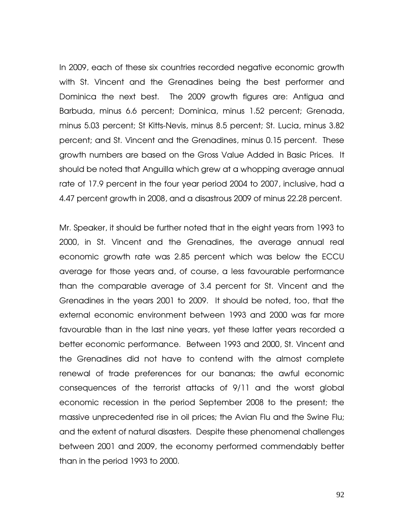In 2009, each of these six countries recorded negative economic growth with St. Vincent and the Grenadines being the best performer and Dominica the next best. The 2009 growth figures are: Antigua and Barbuda, minus 6.6 percent; Dominica, minus 1.52 percent; Grenada, minus 5.03 percent; St Kitts-Nevis, minus 8.5 percent; St. Lucia, minus 3.82 percent; and St. Vincent and the Grenadines, minus 0.15 percent. These growth numbers are based on the Gross Value Added in Basic Prices. It should be noted that Anguilla which grew at a whopping average annual rate of 17.9 percent in the four year period 2004 to 2007, inclusive, had a 4.47 percent growth in 2008, and a disastrous 2009 of minus 22.28 percent.

Mr. Speaker, it should be further noted that in the eight years from 1993 to 2000, in St. Vincent and the Grenadines, the average annual real economic growth rate was 2.85 percent which was below the ECCU average for those years and, of course, a less favourable performance than the comparable average of 3.4 percent for St. Vincent and the Grenadines in the years 2001 to 2009. It should be noted, too, that the external economic environment between 1993 and 2000 was far more favourable than in the last nine years, yet these latter years recorded a better economic performance. Between 1993 and 2000, St. Vincent and the Grenadines did not have to contend with the almost complete renewal of trade preferences for our bananas; the awful economic consequences of the terrorist attacks of 9/11 and the worst global economic recession in the period September 2008 to the present; the massive unprecedented rise in oil prices; the Avian Flu and the Swine Flu; and the extent of natural disasters. Despite these phenomenal challenges between 2001 and 2009, the economy performed commendably better than in the period 1993 to 2000.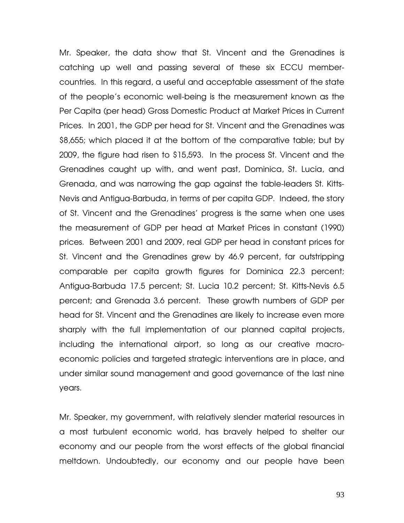Mr. Speaker, the data show that St. Vincent and the Grenadines is catching up well and passing several of these six ECCU membercountries. In this regard, a useful and acceptable assessment of the state of the people's economic well-being is the measurement known as the Per Capita (per head) Gross Domestic Product at Market Prices in Current Prices. In 2001, the GDP per head for St. Vincent and the Grenadines was \$8,655; which placed it at the bottom of the comparative table; but by 2009, the figure had risen to \$15,593. In the process St. Vincent and the Grenadines caught up with, and went past, Dominica, St. Lucia, and Grenada, and was narrowing the gap against the table-leaders St. Kitts-Nevis and Antigua-Barbuda, in terms of per capita GDP. Indeed, the story of St. Vincent and the Grenadines' progress is the same when one uses the measurement of GDP per head at Market Prices in constant (1990) prices. Between 2001 and 2009, real GDP per head in constant prices for St. Vincent and the Grenadines grew by 46.9 percent, far outstripping comparable per capita growth figures for Dominica 22.3 percent; Antigua-Barbuda 17.5 percent; St. Lucia 10.2 percent; St. Kitts-Nevis 6.5 percent; and Grenada 3.6 percent. These growth numbers of GDP per head for St. Vincent and the Grenadines are likely to increase even more sharply with the full implementation of our planned capital projects, including the international airport, so long as our creative macroeconomic policies and targeted strategic interventions are in place, and under similar sound management and good governance of the last nine years.

Mr. Speaker, my government, with relatively slender material resources in a most turbulent economic world, has bravely helped to shelter our economy and our people from the worst effects of the global financial meltdown. Undoubtedly, our economy and our people have been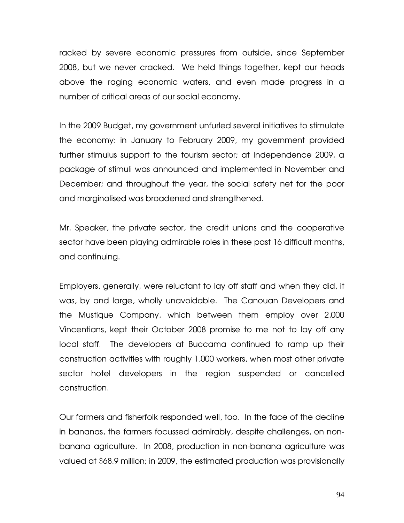racked by severe economic pressures from outside, since September 2008, but we never cracked. We held things together, kept our heads above the raging economic waters, and even made progress in a number of critical areas of our social economy.

In the 2009 Budget, my government unfurled several initiatives to stimulate the economy: in January to February 2009, my government provided further stimulus support to the tourism sector; at Independence 2009, a package of stimuli was announced and implemented in November and December; and throughout the year, the social safety net for the poor and marginalised was broadened and strengthened.

Mr. Speaker, the private sector, the credit unions and the cooperative sector have been playing admirable roles in these past 16 difficult months, and continuing.

Employers, generally, were reluctant to lay off staff and when they did, it was, by and large, wholly unavoidable. The Canouan Developers and the Mustique Company, which between them employ over 2,000 Vincentians, kept their October 2008 promise to me not to lay off any local staff. The developers at Buccama continued to ramp up their construction activities with roughly 1,000 workers, when most other private sector hotel developers in the region suspended or cancelled construction.

Our farmers and fisherfolk responded well, too. In the face of the decline in bananas, the farmers focussed admirably, despite challenges, on nonbanana agriculture. In 2008, production in non-banana agriculture was valued at \$68.9 million; in 2009, the estimated production was provisionally

94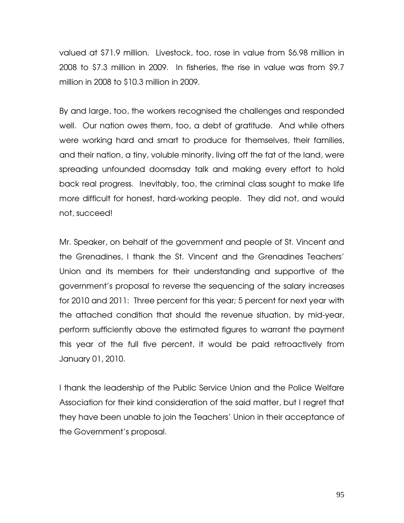valued at \$71.9 million. Livestock, too, rose in value from \$6.98 million in 2008 to \$7.3 million in 2009. In fisheries, the rise in value was from \$9.7 million in 2008 to \$10.3 million in 2009.

By and large, too, the workers recognised the challenges and responded well. Our nation owes them, too, a debt of gratitude. And while others were working hard and smart to produce for themselves, their families, and their nation, a tiny, voluble minority, living off the fat of the land, were spreading unfounded doomsday talk and making every effort to hold back real progress. Inevitably, too, the criminal class sought to make life more difficult for honest, hard-working people. They did not, and would not, succeed!

Mr. Speaker, on behalf of the government and people of St. Vincent and the Grenadines, I thank the St. Vincent and the Grenadines Teachers' Union and its members for their understanding and supportive of the government's proposal to reverse the sequencing of the salary increases for 2010 and 2011: Three percent for this year; 5 percent for next year with the attached condition that should the revenue situation, by mid-year, perform sufficiently above the estimated figures to warrant the payment this year of the full five percent, it would be paid retroactively from January 01, 2010.

I thank the leadership of the Public Service Union and the Police Welfare Association for their kind consideration of the said matter, but I regret that they have been unable to join the Teachers' Union in their acceptance of the Government's proposal.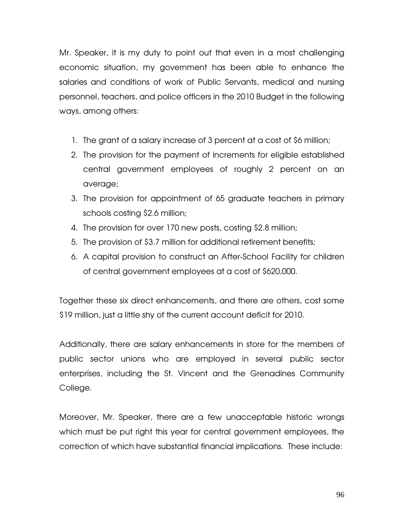Mr. Speaker, it is my duty to point out that even in a most challenging economic situation, my government has been able to enhance the salaries and conditions of work of Public Servants, medical and nursing personnel, teachers, and police officers in the 2010 Budget in the following ways, among others:

- 1. The grant of a salary increase of 3 percent at a cost of \$6 million;
- 2. The provision for the payment of increments for eligible established central government employees of roughly 2 percent on an average;
- 3. The provision for appointment of 65 graduate teachers in primary schools costing \$2.6 million;
- 4. The provision for over 170 new posts, costing \$2.8 million;
- 5. The provision of \$3.7 million for additional retirement benefits;
- 6. A capital provision to construct an After-School Facility for children of central government employees at a cost of \$620,000.

Together these six direct enhancements, and there are others, cost some \$19 million, just a little shy of the current account deficit for 2010.

Additionally, there are salary enhancements in store for the members of public sector unions who are employed in several public sector enterprises, including the St. Vincent and the Grenadines Community College.

Moreover, Mr. Speaker, there are a few unacceptable historic wrongs which must be put right this year for central government employees, the correction of which have substantial financial implications. These include: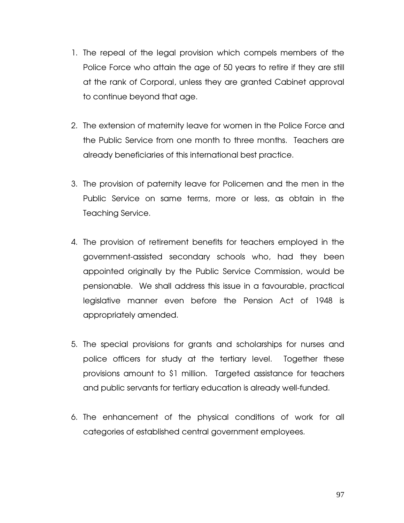- 1. The repeal of the legal provision which compels members of the Police Force who attain the age of 50 years to retire if they are still at the rank of Corporal, unless they are granted Cabinet approval to continue beyond that age.
- 2. The extension of maternity leave for women in the Police Force and the Public Service from one month to three months. Teachers are already beneficiaries of this international best practice.
- 3. The provision of paternity leave for Policemen and the men in the Public Service on same terms, more or less, as obtain in the Teaching Service.
- 4. The provision of retirement benefits for teachers employed in the government-assisted secondary schools who, had they been appointed originally by the Public Service Commission, would be pensionable. We shall address this issue in a favourable, practical legislative manner even before the Pension Act of 1948 is appropriately amended.
- 5. The special provisions for grants and scholarships for nurses and police officers for study at the tertiary level. Together these provisions amount to \$1 million. Targeted assistance for teachers and public servants for tertiary education is already well-funded.
- 6. The enhancement of the physical conditions of work for all categories of established central government employees.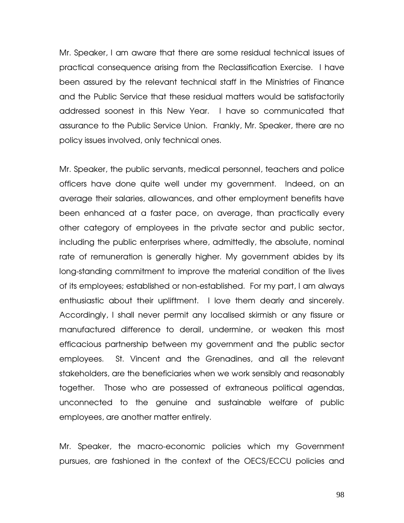Mr. Speaker, I am aware that there are some residual technical issues of practical consequence arising from the Reclassification Exercise. I have been assured by the relevant technical staff in the Ministries of Finance and the Public Service that these residual matters would be satisfactorily addressed soonest in this New Year. I have so communicated that assurance to the Public Service Union. Frankly, Mr. Speaker, there are no policy issues involved, only technical ones.

Mr. Speaker, the public servants, medical personnel, teachers and police officers have done quite well under my government. Indeed, on an average their salaries, allowances, and other employment benefits have been enhanced at a faster pace, on average, than practically every other category of employees in the private sector and public sector, including the public enterprises where, admittedly, the absolute, nominal rate of remuneration is generally higher. My government abides by its long-standing commitment to improve the material condition of the lives of its employees; established or non-established. For my part, I am always enthusiastic about their upliftment. I love them dearly and sincerely. Accordingly, I shall never permit any localised skirmish or any fissure or manufactured difference to derail, undermine, or weaken this most efficacious partnership between my government and the public sector employees. St. Vincent and the Grenadines, and all the relevant stakeholders, are the beneficiaries when we work sensibly and reasonably together. Those who are possessed of extraneous political agendas, unconnected to the genuine and sustainable welfare of public employees, are another matter entirely.

Mr. Speaker, the macro-economic policies which my Government pursues, are fashioned in the context of the OECS/ECCU policies and

98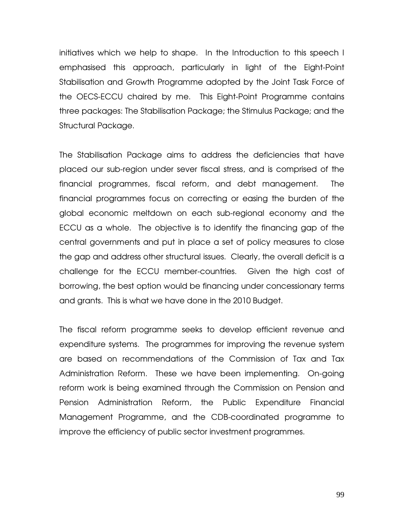initiatives which we help to shape. In the Introduction to this speech I emphasised this approach, particularly in light of the Eight-Point Stabilisation and Growth Programme adopted by the Joint Task Force of the OECS-ECCU chaired by me. This Eight-Point Programme contains three packages: The Stabilisation Package; the Stimulus Package; and the Structural Package.

The Stabilisation Package aims to address the deficiencies that have placed our sub-region under sever fiscal stress, and is comprised of the financial programmes, fiscal reform, and debt management. The financial programmes focus on correcting or easing the burden of the global economic meltdown on each sub-regional economy and the ECCU as a whole. The objective is to identify the financing gap of the central governments and put in place a set of policy measures to close the gap and address other structural issues. Clearly, the overall deficit is a challenge for the ECCU member-countries. Given the high cost of borrowing, the best option would be financing under concessionary terms and grants. This is what we have done in the 2010 Budget.

The fiscal reform programme seeks to develop efficient revenue and expenditure systems. The programmes for improving the revenue system are based on recommendations of the Commission of Tax and Tax Administration Reform. These we have been implementing. On-going reform work is being examined through the Commission on Pension and Pension Administration Reform, the Public Expenditure Financial Management Programme, and the CDB-coordinated programme to improve the efficiency of public sector investment programmes.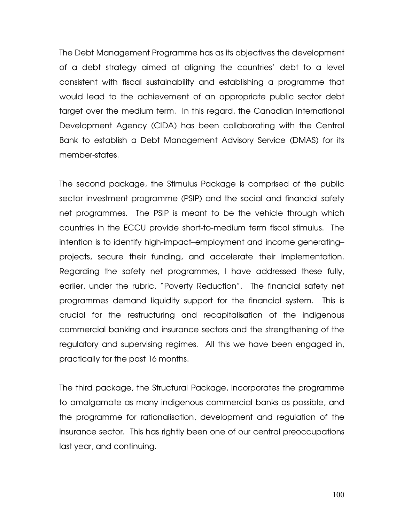The Debt Management Programme has as its objectives the development of a debt strategy aimed at aligning the countries' debt to a level consistent with fiscal sustainability and establishing a programme that would lead to the achievement of an appropriate public sector debt target over the medium term. In this regard, the Canadian International Development Agency (CIDA) has been collaborating with the Central Bank to establish a Debt Management Advisory Service (DMAS) for its member-states.

The second package, the Stimulus Package is comprised of the public sector investment programme (PSIP) and the social and financial safety net programmes. The PSIP is meant to be the vehicle through which countries in the ECCU provide short-to-medium term fiscal stimulus. The intention is to identify high-impact–employment and income generating– projects, secure their funding, and accelerate their implementation. Regarding the safety net programmes, I have addressed these fully, earlier, under the rubric, "Poverty Reduction". The financial safety net programmes demand liquidity support for the financial system. This is crucial for the restructuring and recapitalisation of the indigenous commercial banking and insurance sectors and the strengthening of the regulatory and supervising regimes. All this we have been engaged in, practically for the past 16 months.

The third package, the Structural Package, incorporates the programme to amalgamate as many indigenous commercial banks as possible, and the programme for rationalisation, development and regulation of the insurance sector. This has rightly been one of our central preoccupations last year, and continuing.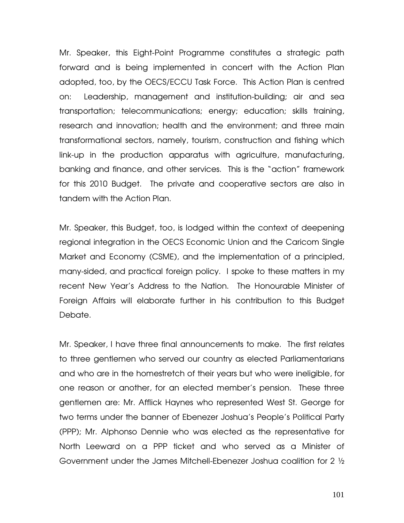Mr. Speaker, this Eight-Point Programme constitutes a strategic path forward and is being implemented in concert with the Action Plan adopted, too, by the OECS/ECCU Task Force. This Action Plan is centred on: Leadership, management and institution-building; air and sea transportation; telecommunications; energy; education; skills training, research and innovation; health and the environment; and three main transformational sectors, namely, tourism, construction and fishing which link-up in the production apparatus with agriculture, manufacturing, banking and finance, and other services. This is the "action" framework for this 2010 Budget. The private and cooperative sectors are also in tandem with the Action Plan.

Mr. Speaker, this Budget, too, is lodged within the context of deepening regional integration in the OECS Economic Union and the Caricom Single Market and Economy (CSME), and the implementation of a principled, many-sided, and practical foreign policy. I spoke to these matters in my recent New Year's Address to the Nation. The Honourable Minister of Foreign Affairs will elaborate further in his contribution to this Budget Debate.

Mr. Speaker, I have three final announcements to make. The first relates to three gentlemen who served our country as elected Parliamentarians and who are in the homestretch of their years but who were ineligible, for one reason or another, for an elected member's pension. These three gentlemen are: Mr. Afflick Haynes who represented West St. George for two terms under the banner of Ebenezer Joshua's People's Political Party (PPP); Mr. Alphonso Dennie who was elected as the representative for North Leeward on a PPP ticket and who served as a Minister of Government under the James Mitchell-Ebenezer Joshua coalition for 2 ½

101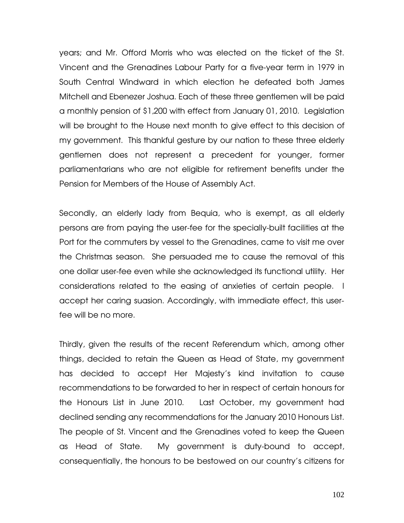years; and Mr. Offord Morris who was elected on the ticket of the St. Vincent and the Grenadines Labour Party for a five-year term in 1979 in South Central Windward in which election he defeated both James Mitchell and Ebenezer Joshua. Each of these three gentlemen will be paid a monthly pension of \$1,200 with effect from January 01, 2010. Legislation will be brought to the House next month to give effect to this decision of my government. This thankful gesture by our nation to these three elderly gentlemen does not represent a precedent for younger, former parliamentarians who are not eligible for retirement benefits under the Pension for Members of the House of Assembly Act.

Secondly, an elderly lady from Bequia, who is exempt, as all elderly persons are from paying the user-fee for the specially-built facilities at the Port for the commuters by vessel to the Grenadines, came to visit me over the Christmas season. She persuaded me to cause the removal of this one dollar user-fee even while she acknowledged its functional utility. Her considerations related to the easing of anxieties of certain people. I accept her caring suasion. Accordingly, with immediate effect, this userfee will be no more.

Thirdly, given the results of the recent Referendum which, among other things, decided to retain the Queen as Head of State, my government has decided to accept Her Majesty's kind invitation to cause recommendations to be forwarded to her in respect of certain honours for the Honours List in June 2010. Last October, my government had declined sending any recommendations for the January 2010 Honours List. The people of St. Vincent and the Grenadines voted to keep the Queen as Head of State. My government is duty-bound to accept, consequentially, the honours to be bestowed on our country's citizens for

102